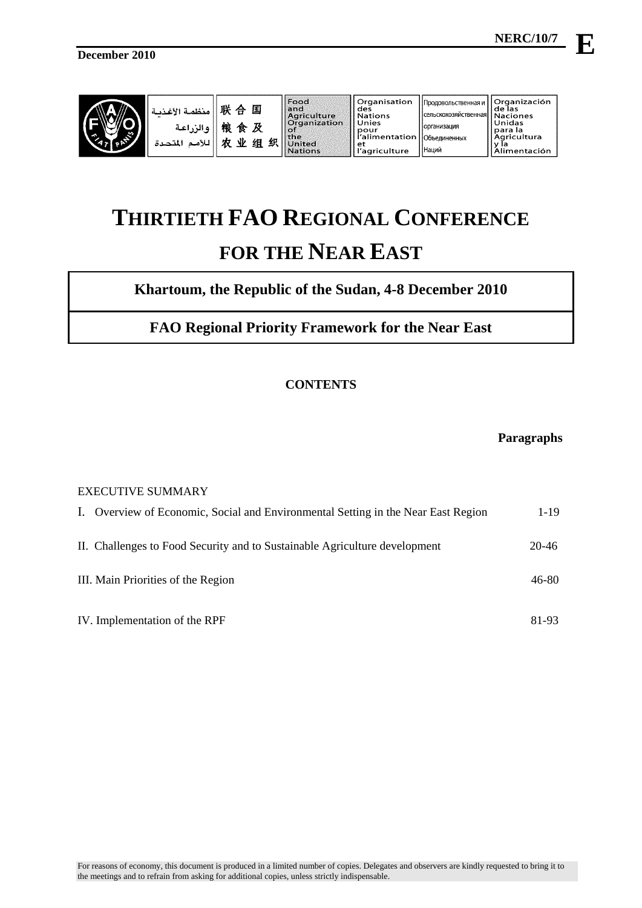

| $\mathcal{M}$<br>$\mathbb{R}^2$ | منظمة الأغذية<br>ه الزراعية | 晔<br>国<br>⇔<br>桹<br>食<br>۹Þ<br>ゕ<br>细 | 织 | l Food<br>llandi<br><b>Agriculture</b><br><b>Organization</b><br>াতা<br>$ $ the<br>United<br><b>Nations</b> | Organisation<br>des<br><b>Nations</b><br>Unies<br>pour<br>r'alimentation   Объединенных<br>et<br>'agriculture | Продовольственная и<br>  сельскохозяйственная <b> </b><br>I Іорганизация<br><b>ІНаций</b> | l Organización<br>i de las<br><b>Naciones</b><br>Unidas<br>l para la<br>Agricultura<br>imentación |
|---------------------------------|-----------------------------|---------------------------------------|---|-------------------------------------------------------------------------------------------------------------|---------------------------------------------------------------------------------------------------------------|-------------------------------------------------------------------------------------------|---------------------------------------------------------------------------------------------------|
|---------------------------------|-----------------------------|---------------------------------------|---|-------------------------------------------------------------------------------------------------------------|---------------------------------------------------------------------------------------------------------------|-------------------------------------------------------------------------------------------|---------------------------------------------------------------------------------------------------|

# **THIRTIETH FAO REGIONAL CONFERENCE FOR THE NEAR EAST**

# **Khartoum, the Republic of the Sudan, 4-8 December 2010**

# **FAO Regional Priority Framework for the Near East**

# **CONTENTS**

# **Paragraphs**

| <b>EXECUTIVE SUMMARY</b> |                                                                                   |          |  |  |  |  |  |  |  |  |
|--------------------------|-----------------------------------------------------------------------------------|----------|--|--|--|--|--|--|--|--|
|                          | I. Overview of Economic, Social and Environmental Setting in the Near East Region | $1 - 19$ |  |  |  |  |  |  |  |  |
|                          | II. Challenges to Food Security and to Sustainable Agriculture development        | 20-46    |  |  |  |  |  |  |  |  |
|                          | III. Main Priorities of the Region                                                | 46-80    |  |  |  |  |  |  |  |  |
|                          | IV. Implementation of the RPF                                                     | 81-93    |  |  |  |  |  |  |  |  |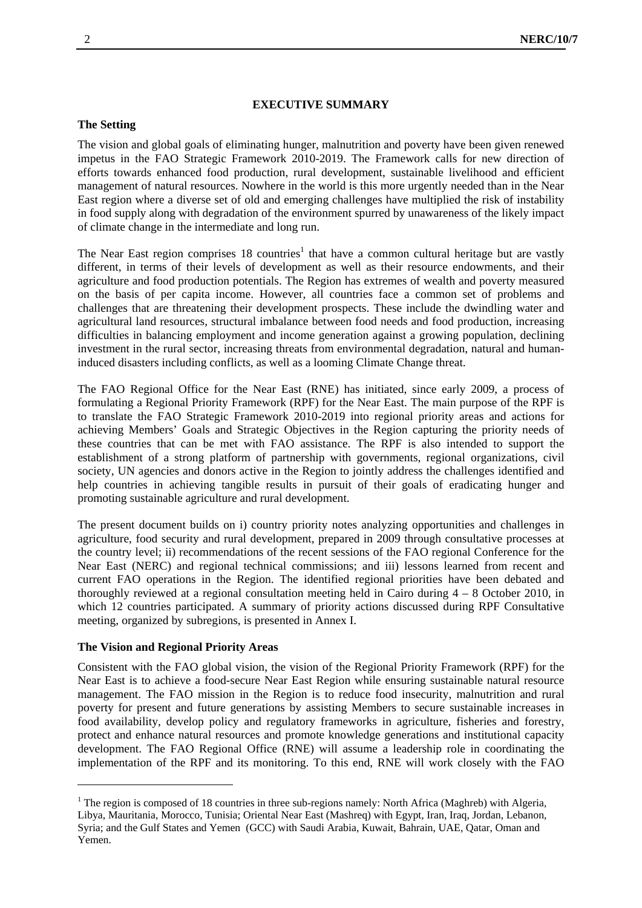#### **EXECUTIVE SUMMARY**

# **The Setting**

The vision and global goals of eliminating hunger, malnutrition and poverty have been given renewed impetus in the FAO Strategic Framework 2010-2019. The Framework calls for new direction of efforts towards enhanced food production, rural development, sustainable livelihood and efficient management of natural resources. Nowhere in the world is this more urgently needed than in the Near East region where a diverse set of old and emerging challenges have multiplied the risk of instability in food supply along with degradation of the environment spurred by unawareness of the likely impact of climate change in the intermediate and long run.

The Near East region comprises 18 countries<sup>1</sup> that have a common cultural heritage but are vastly different, in terms of their levels of development as well as their resource endowments, and their agriculture and food production potentials. The Region has extremes of wealth and poverty measured on the basis of per capita income. However, all countries face a common set of problems and challenges that are threatening their development prospects. These include the dwindling water and agricultural land resources, structural imbalance between food needs and food production, increasing difficulties in balancing employment and income generation against a growing population, declining investment in the rural sector, increasing threats from environmental degradation, natural and humaninduced disasters including conflicts, as well as a looming Climate Change threat.

The FAO Regional Office for the Near East (RNE) has initiated, since early 2009, a process of formulating a Regional Priority Framework (RPF) for the Near East. The main purpose of the RPF is to translate the FAO Strategic Framework 2010-2019 into regional priority areas and actions for achieving Members' Goals and Strategic Objectives in the Region capturing the priority needs of these countries that can be met with FAO assistance. The RPF is also intended to support the establishment of a strong platform of partnership with governments, regional organizations, civil society, UN agencies and donors active in the Region to jointly address the challenges identified and help countries in achieving tangible results in pursuit of their goals of eradicating hunger and promoting sustainable agriculture and rural development.

The present document builds on i) country priority notes analyzing opportunities and challenges in agriculture, food security and rural development, prepared in 2009 through consultative processes at the country level; ii) recommendations of the recent sessions of the FAO regional Conference for the Near East (NERC) and regional technical commissions; and iii) lessons learned from recent and current FAO operations in the Region. The identified regional priorities have been debated and thoroughly reviewed at a regional consultation meeting held in Cairo during 4 – 8 October 2010, in which 12 countries participated. A summary of priority actions discussed during RPF Consultative meeting, organized by subregions, is presented in Annex I.

#### **The Vision and Regional Priority Areas**

1

Consistent with the FAO global vision, the vision of the Regional Priority Framework (RPF) for the Near East is to achieve a food-secure Near East Region while ensuring sustainable natural resource management. The FAO mission in the Region is to reduce food insecurity, malnutrition and rural poverty for present and future generations by assisting Members to secure sustainable increases in food availability, develop policy and regulatory frameworks in agriculture, fisheries and forestry, protect and enhance natural resources and promote knowledge generations and institutional capacity development. The FAO Regional Office (RNE) will assume a leadership role in coordinating the implementation of the RPF and its monitoring. To this end, RNE will work closely with the FAO

<sup>&</sup>lt;sup>1</sup> The region is composed of 18 countries in three sub-regions namely: North Africa (Maghreb) with Algeria, Libya, Mauritania, Morocco, Tunisia; Oriental Near East (Mashreq) with Egypt, Iran, Iraq, Jordan, Lebanon, Syria; and the Gulf States and Yemen (GCC) with Saudi Arabia, Kuwait, Bahrain, UAE, Qatar, Oman and Yemen.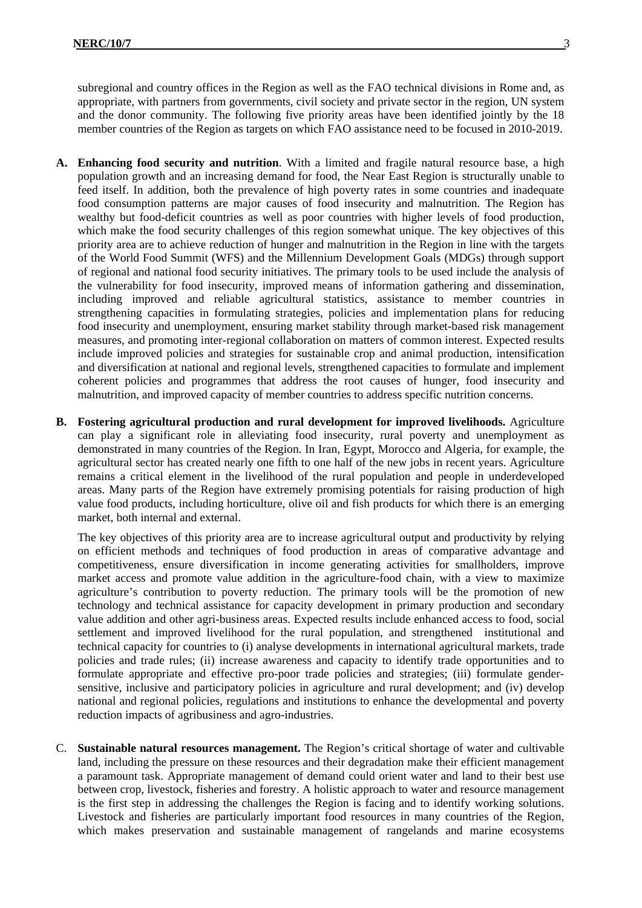subregional and country offices in the Region as well as the FAO technical divisions in Rome and, as appropriate, with partners from governments, civil society and private sector in the region, UN system and the donor community. The following five priority areas have been identified jointly by the 18 member countries of the Region as targets on which FAO assistance need to be focused in 2010-2019.

- **A. Enhancing food security and nutrition**. With a limited and fragile natural resource base, a high population growth and an increasing demand for food, the Near East Region is structurally unable to feed itself. In addition, both the prevalence of high poverty rates in some countries and inadequate food consumption patterns are major causes of food insecurity and malnutrition. The Region has wealthy but food-deficit countries as well as poor countries with higher levels of food production, which make the food security challenges of this region somewhat unique. The key objectives of this priority area are to achieve reduction of hunger and malnutrition in the Region in line with the targets of the World Food Summit (WFS) and the Millennium Development Goals (MDGs) through support of regional and national food security initiatives. The primary tools to be used include the analysis of the vulnerability for food insecurity, improved means of information gathering and dissemination, including improved and reliable agricultural statistics, assistance to member countries in strengthening capacities in formulating strategies, policies and implementation plans for reducing food insecurity and unemployment, ensuring market stability through market-based risk management measures, and promoting inter-regional collaboration on matters of common interest. Expected results include improved policies and strategies for sustainable crop and animal production, intensification and diversification at national and regional levels, strengthened capacities to formulate and implement coherent policies and programmes that address the root causes of hunger, food insecurity and malnutrition, and improved capacity of member countries to address specific nutrition concerns.
- **B. Fostering agricultural production and rural development for improved livelihoods.** Agriculture can play a significant role in alleviating food insecurity, rural poverty and unemployment as demonstrated in many countries of the Region. In Iran, Egypt, Morocco and Algeria, for example, the agricultural sector has created nearly one fifth to one half of the new jobs in recent years. Agriculture remains a critical element in the livelihood of the rural population and people in underdeveloped areas. Many parts of the Region have extremely promising potentials for raising production of high value food products, including horticulture, olive oil and fish products for which there is an emerging market, both internal and external.

The key objectives of this priority area are to increase agricultural output and productivity by relying on efficient methods and techniques of food production in areas of comparative advantage and competitiveness, ensure diversification in income generating activities for smallholders, improve market access and promote value addition in the agriculture-food chain, with a view to maximize agriculture's contribution to poverty reduction. The primary tools will be the promotion of new technology and technical assistance for capacity development in primary production and secondary value addition and other agri-business areas. Expected results include enhanced access to food, social settlement and improved livelihood for the rural population, and strengthened institutional and technical capacity for countries to (i) analyse developments in international agricultural markets, trade policies and trade rules; (ii) increase awareness and capacity to identify trade opportunities and to formulate appropriate and effective pro-poor trade policies and strategies; (iii) formulate gendersensitive, inclusive and participatory policies in agriculture and rural development; and (iv) develop national and regional policies, regulations and institutions to enhance the developmental and poverty reduction impacts of agribusiness and agro-industries.

C. **Sustainable natural resources management.** The Region's critical shortage of water and cultivable land, including the pressure on these resources and their degradation make their efficient management a paramount task. Appropriate management of demand could orient water and land to their best use between crop, livestock, fisheries and forestry. A holistic approach to water and resource management is the first step in addressing the challenges the Region is facing and to identify working solutions. Livestock and fisheries are particularly important food resources in many countries of the Region, which makes preservation and sustainable management of rangelands and marine ecosystems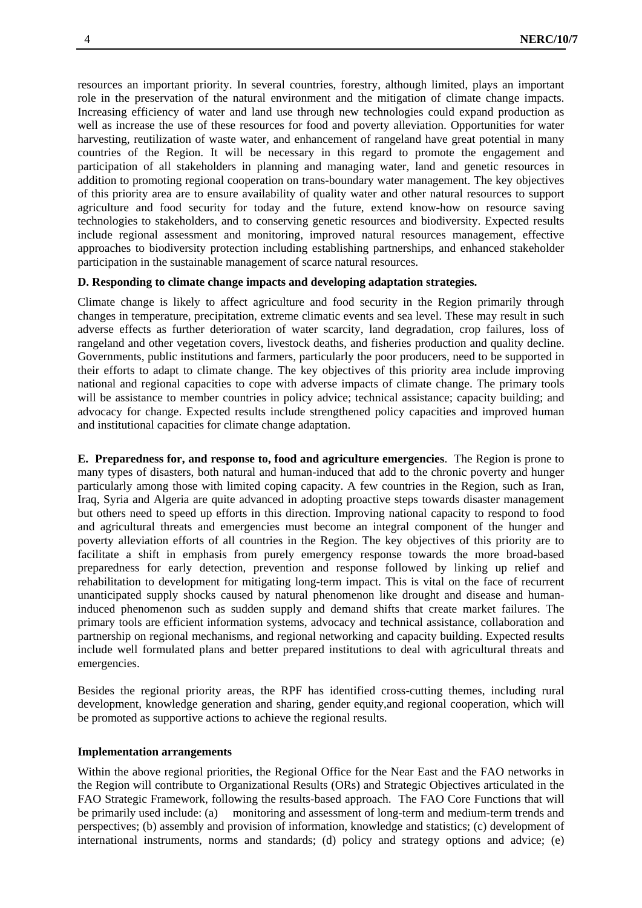resources an important priority. In several countries, forestry, although limited, plays an important role in the preservation of the natural environment and the mitigation of climate change impacts. Increasing efficiency of water and land use through new technologies could expand production as well as increase the use of these resources for food and poverty alleviation. Opportunities for water harvesting, reutilization of waste water, and enhancement of rangeland have great potential in many countries of the Region. It will be necessary in this regard to promote the engagement and participation of all stakeholders in planning and managing water, land and genetic resources in addition to promoting regional cooperation on trans-boundary water management. The key objectives of this priority area are to ensure availability of quality water and other natural resources to support agriculture and food security for today and the future, extend know-how on resource saving technologies to stakeholders, and to conserving genetic resources and biodiversity. Expected results include regional assessment and monitoring, improved natural resources management, effective approaches to biodiversity protection including establishing partnerships, and enhanced stakeholder participation in the sustainable management of scarce natural resources.

#### **D. Responding to climate change impacts and developing adaptation strategies.**

Climate change is likely to affect agriculture and food security in the Region primarily through changes in temperature, precipitation, extreme climatic events and sea level. These may result in such adverse effects as further deterioration of water scarcity, land degradation, crop failures, loss of rangeland and other vegetation covers, livestock deaths, and fisheries production and quality decline. Governments, public institutions and farmers, particularly the poor producers, need to be supported in their efforts to adapt to climate change. The key objectives of this priority area include improving national and regional capacities to cope with adverse impacts of climate change. The primary tools will be assistance to member countries in policy advice; technical assistance; capacity building; and advocacy for change. Expected results include strengthened policy capacities and improved human and institutional capacities for climate change adaptation.

**E. Preparedness for, and response to, food and agriculture emergencies**. The Region is prone to many types of disasters, both natural and human-induced that add to the chronic poverty and hunger particularly among those with limited coping capacity. A few countries in the Region, such as Iran, Iraq, Syria and Algeria are quite advanced in adopting proactive steps towards disaster management but others need to speed up efforts in this direction. Improving national capacity to respond to food and agricultural threats and emergencies must become an integral component of the hunger and poverty alleviation efforts of all countries in the Region. The key objectives of this priority are to facilitate a shift in emphasis from purely emergency response towards the more broad-based preparedness for early detection, prevention and response followed by linking up relief and rehabilitation to development for mitigating long-term impact. This is vital on the face of recurrent unanticipated supply shocks caused by natural phenomenon like drought and disease and humaninduced phenomenon such as sudden supply and demand shifts that create market failures. The primary tools are efficient information systems, advocacy and technical assistance, collaboration and partnership on regional mechanisms, and regional networking and capacity building. Expected results include well formulated plans and better prepared institutions to deal with agricultural threats and emergencies.

Besides the regional priority areas, the RPF has identified cross-cutting themes, including rural development, knowledge generation and sharing, gender equity,and regional cooperation, which will be promoted as supportive actions to achieve the regional results.

#### **Implementation arrangements**

Within the above regional priorities, the Regional Office for the Near East and the FAO networks in the Region will contribute to Organizational Results (ORs) and Strategic Objectives articulated in the FAO Strategic Framework, following the results-based approach. The FAO Core Functions that will be primarily used include: (a) monitoring and assessment of long-term and medium-term trends and perspectives; (b) assembly and provision of information, knowledge and statistics; (c) development of international instruments, norms and standards; (d) policy and strategy options and advice; (e)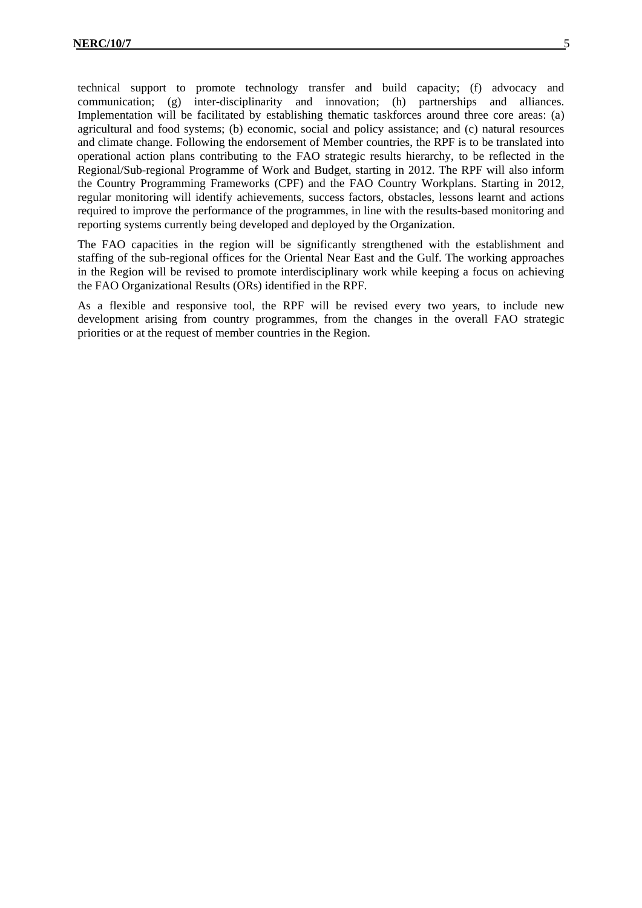technical support to promote technology transfer and build capacity; (f) advocacy and communication; (g) inter-disciplinarity and innovation; (h) partnerships and alliances. Implementation will be facilitated by establishing thematic taskforces around three core areas: (a) agricultural and food systems; (b) economic, social and policy assistance; and (c) natural resources and climate change. Following the endorsement of Member countries, the RPF is to be translated into operational action plans contributing to the FAO strategic results hierarchy, to be reflected in the Regional/Sub-regional Programme of Work and Budget, starting in 2012. The RPF will also inform the Country Programming Frameworks (CPF) and the FAO Country Workplans. Starting in 2012, regular monitoring will identify achievements, success factors, obstacles, lessons learnt and actions required to improve the performance of the programmes, in line with the results-based monitoring and reporting systems currently being developed and deployed by the Organization.

The FAO capacities in the region will be significantly strengthened with the establishment and staffing of the sub-regional offices for the Oriental Near East and the Gulf. The working approaches in the Region will be revised to promote interdisciplinary work while keeping a focus on achieving the FAO Organizational Results (ORs) identified in the RPF.

As a flexible and responsive tool, the RPF will be revised every two years, to include new development arising from country programmes, from the changes in the overall FAO strategic priorities or at the request of member countries in the Region.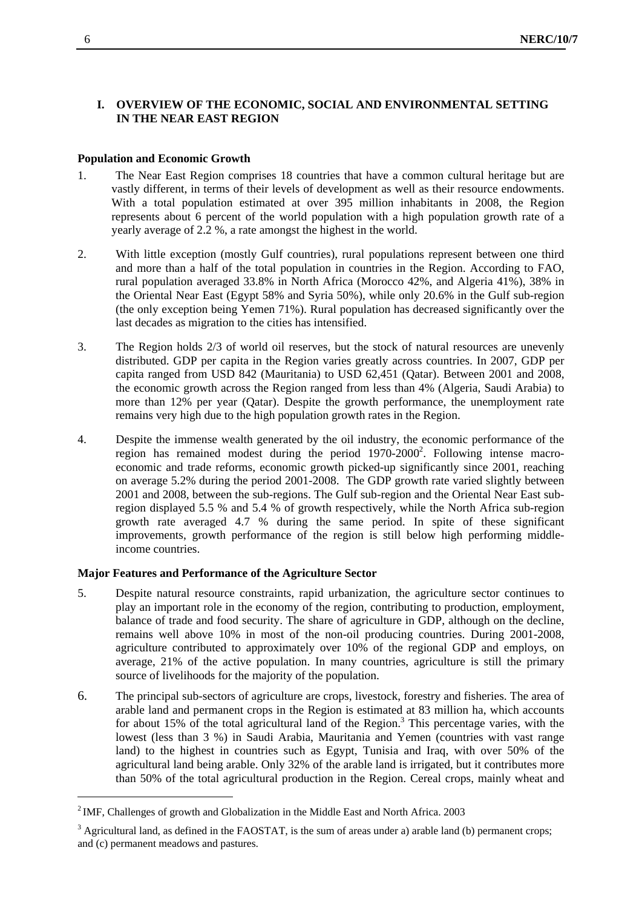# **I. OVERVIEW OF THE ECONOMIC, SOCIAL AND ENVIRONMENTAL SETTING IN THE NEAR EAST REGION**

# **Population and Economic Growth**

- 1. The Near East Region comprises 18 countries that have a common cultural heritage but are vastly different, in terms of their levels of development as well as their resource endowments. With a total population estimated at over 395 million inhabitants in 2008, the Region represents about 6 percent of the world population with a high population growth rate of a yearly average of 2.2 %, a rate amongst the highest in the world.
- 2. With little exception (mostly Gulf countries), rural populations represent between one third and more than a half of the total population in countries in the Region. According to FAO, rural population averaged 33.8% in North Africa (Morocco 42%, and Algeria 41%), 38% in the Oriental Near East (Egypt 58% and Syria 50%), while only 20.6% in the Gulf sub-region (the only exception being Yemen 71%). Rural population has decreased significantly over the last decades as migration to the cities has intensified.
- 3. The Region holds 2/3 of world oil reserves, but the stock of natural resources are unevenly distributed. GDP per capita in the Region varies greatly across countries. In 2007, GDP per capita ranged from USD 842 (Mauritania) to USD 62,451 (Qatar). Between 2001 and 2008, the economic growth across the Region ranged from less than 4% (Algeria, Saudi Arabia) to more than 12% per year (Qatar). Despite the growth performance, the unemployment rate remains very high due to the high population growth rates in the Region.
- 4. Despite the immense wealth generated by the oil industry, the economic performance of the region has remained modest during the period 1970-2000<sup>2</sup>. Following intense macroeconomic and trade reforms, economic growth picked-up significantly since 2001, reaching on average 5.2% during the period 2001-2008. The GDP growth rate varied slightly between 2001 and 2008, between the sub-regions. The Gulf sub-region and the Oriental Near East subregion displayed 5.5 % and 5.4 % of growth respectively, while the North Africa sub-region growth rate averaged 4.7 % during the same period. In spite of these significant improvements, growth performance of the region is still below high performing middleincome countries.

# **Major Features and Performance of the Agriculture Sector**

- 5. Despite natural resource constraints, rapid urbanization, the agriculture sector continues to play an important role in the economy of the region, contributing to production, employment, balance of trade and food security. The share of agriculture in GDP, although on the decline, remains well above 10% in most of the non-oil producing countries. During 2001-2008, agriculture contributed to approximately over 10% of the regional GDP and employs, on average, 21% of the active population. In many countries, agriculture is still the primary source of livelihoods for the majority of the population.
- 6. The principal sub-sectors of agriculture are crops, livestock, forestry and fisheries. The area of arable land and permanent crops in the Region is estimated at 83 million ha, which accounts for about 15% of the total agricultural land of the Region.<sup>3</sup> This percentage varies, with the lowest (less than 3 %) in Saudi Arabia, Mauritania and Yemen (countries with vast range land) to the highest in countries such as Egypt, Tunisia and Iraq, with over 50% of the agricultural land being arable. Only 32% of the arable land is irrigated, but it contributes more than 50% of the total agricultural production in the Region. Cereal crops, mainly wheat and

-

 $2^2$  IMF, Challenges of growth and Globalization in the Middle East and North Africa. 2003

 $3$  Agricultural land, as defined in the FAOSTAT, is the sum of areas under a) arable land (b) permanent crops; and (c) permanent meadows and pastures.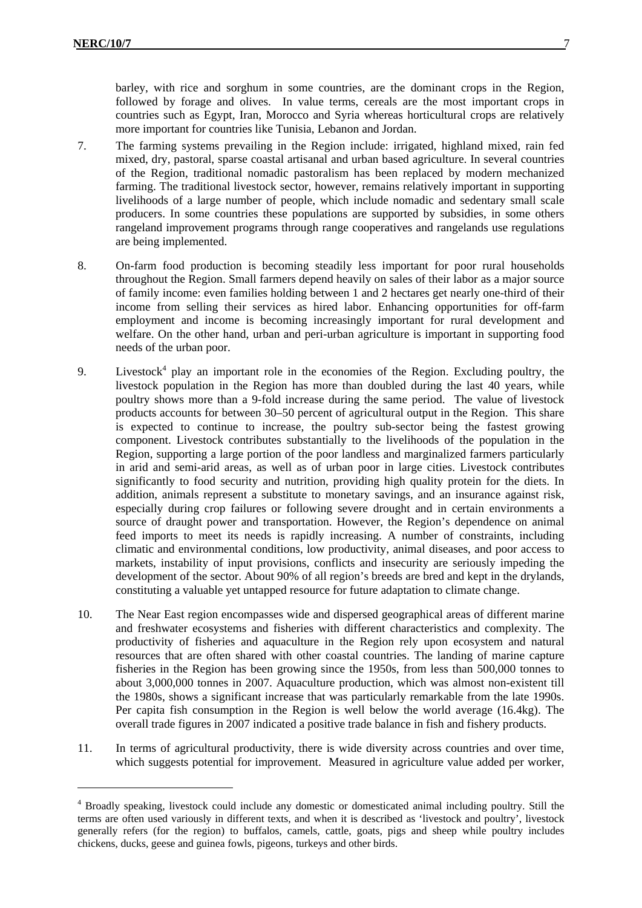1

barley, with rice and sorghum in some countries, are the dominant crops in the Region, followed by forage and olives. In value terms, cereals are the most important crops in countries such as Egypt, Iran, Morocco and Syria whereas horticultural crops are relatively more important for countries like Tunisia, Lebanon and Jordan.

- 7. The farming systems prevailing in the Region include: irrigated, highland mixed, rain fed mixed, dry, pastoral, sparse coastal artisanal and urban based agriculture. In several countries of the Region, traditional nomadic pastoralism has been replaced by modern mechanized farming. The traditional livestock sector, however, remains relatively important in supporting livelihoods of a large number of people, which include nomadic and sedentary small scale producers. In some countries these populations are supported by subsidies, in some others rangeland improvement programs through range cooperatives and rangelands use regulations are being implemented.
- 8. On-farm food production is becoming steadily less important for poor rural households throughout the Region. Small farmers depend heavily on sales of their labor as a major source of family income: even families holding between 1 and 2 hectares get nearly one-third of their income from selling their services as hired labor. Enhancing opportunities for off-farm employment and income is becoming increasingly important for rural development and welfare. On the other hand, urban and peri-urban agriculture is important in supporting food needs of the urban poor.
- 9. Livestock<sup>4</sup> play an important role in the economies of the Region. Excluding poultry, the livestock population in the Region has more than doubled during the last 40 years, while poultry shows more than a 9-fold increase during the same period. The value of livestock products accounts for between 30–50 percent of agricultural output in the Region. This share is expected to continue to increase, the poultry sub-sector being the fastest growing component. Livestock contributes substantially to the livelihoods of the population in the Region, supporting a large portion of the poor landless and marginalized farmers particularly in arid and semi-arid areas, as well as of urban poor in large cities. Livestock contributes significantly to food security and nutrition, providing high quality protein for the diets. In addition, animals represent a substitute to monetary savings, and an insurance against risk, especially during crop failures or following severe drought and in certain environments a source of draught power and transportation. However, the Region's dependence on animal feed imports to meet its needs is rapidly increasing. A number of constraints, including climatic and environmental conditions, low productivity, animal diseases, and poor access to markets, instability of input provisions, conflicts and insecurity are seriously impeding the development of the sector. About 90% of all region's breeds are bred and kept in the drylands, constituting a valuable yet untapped resource for future adaptation to climate change.
- 10. The Near East region encompasses wide and dispersed geographical areas of different marine and freshwater ecosystems and fisheries with different characteristics and complexity. The productivity of fisheries and aquaculture in the Region rely upon ecosystem and natural resources that are often shared with other coastal countries. The landing of marine capture fisheries in the Region has been growing since the 1950s, from less than 500,000 tonnes to about 3,000,000 tonnes in 2007. Aquaculture production, which was almost non-existent till the 1980s, shows a significant increase that was particularly remarkable from the late 1990s. Per capita fish consumption in the Region is well below the world average (16.4kg). The overall trade figures in 2007 indicated a positive trade balance in fish and fishery products.
- 11. In terms of agricultural productivity, there is wide diversity across countries and over time, which suggests potential for improvement. Measured in agriculture value added per worker,

<sup>&</sup>lt;sup>4</sup> Broadly speaking, livestock could include any domestic or domesticated animal including poultry. Still the terms are often used variously in different texts, and when it is described as 'livestock and poultry', livestock generally refers (for the region) to buffalos, camels, cattle, goats, pigs and sheep while poultry includes chickens, ducks, geese and guinea fowls, pigeons, turkeys and other birds.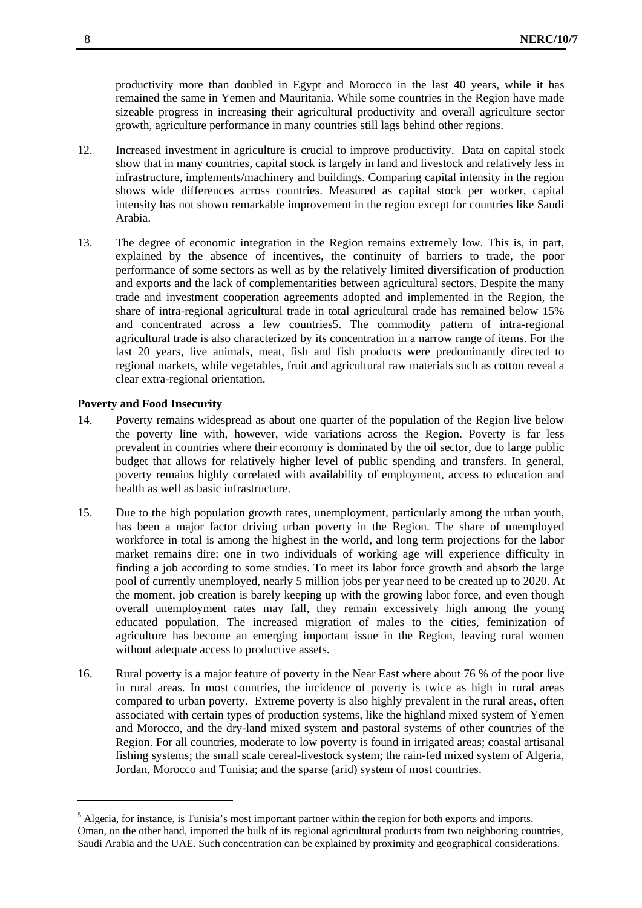productivity more than doubled in Egypt and Morocco in the last 40 years, while it has remained the same in Yemen and Mauritania. While some countries in the Region have made sizeable progress in increasing their agricultural productivity and overall agriculture sector growth, agriculture performance in many countries still lags behind other regions.

- 12. Increased investment in agriculture is crucial to improve productivity. Data on capital stock show that in many countries, capital stock is largely in land and livestock and relatively less in infrastructure, implements/machinery and buildings. Comparing capital intensity in the region shows wide differences across countries. Measured as capital stock per worker, capital intensity has not shown remarkable improvement in the region except for countries like Saudi Arabia.
- 13. The degree of economic integration in the Region remains extremely low. This is, in part, explained by the absence of incentives, the continuity of barriers to trade, the poor performance of some sectors as well as by the relatively limited diversification of production and exports and the lack of complementarities between agricultural sectors. Despite the many trade and investment cooperation agreements adopted and implemented in the Region, the share of intra-regional agricultural trade in total agricultural trade has remained below 15% and concentrated across a few countries5. The commodity pattern of intra-regional agricultural trade is also characterized by its concentration in a narrow range of items. For the last 20 years, live animals, meat, fish and fish products were predominantly directed to regional markets, while vegetables, fruit and agricultural raw materials such as cotton reveal a clear extra-regional orientation.

#### **Poverty and Food Insecurity**

-

- 14. Poverty remains widespread as about one quarter of the population of the Region live below the poverty line with, however, wide variations across the Region. Poverty is far less prevalent in countries where their economy is dominated by the oil sector, due to large public budget that allows for relatively higher level of public spending and transfers. In general, poverty remains highly correlated with availability of employment, access to education and health as well as basic infrastructure.
- 15. Due to the high population growth rates, unemployment, particularly among the urban youth, has been a major factor driving urban poverty in the Region. The share of unemployed workforce in total is among the highest in the world, and long term projections for the labor market remains dire: one in two individuals of working age will experience difficulty in finding a job according to some studies. To meet its labor force growth and absorb the large pool of currently unemployed, nearly 5 million jobs per year need to be created up to 2020. At the moment, job creation is barely keeping up with the growing labor force, and even though overall unemployment rates may fall, they remain excessively high among the young educated population. The increased migration of males to the cities, feminization of agriculture has become an emerging important issue in the Region, leaving rural women without adequate access to productive assets.
- 16. Rural poverty is a major feature of poverty in the Near East where about 76 % of the poor live in rural areas. In most countries, the incidence of poverty is twice as high in rural areas compared to urban poverty. Extreme poverty is also highly prevalent in the rural areas, often associated with certain types of production systems, like the highland mixed system of Yemen and Morocco, and the dry-land mixed system and pastoral systems of other countries of the Region. For all countries, moderate to low poverty is found in irrigated areas; coastal artisanal fishing systems; the small scale cereal-livestock system; the rain-fed mixed system of Algeria, Jordan, Morocco and Tunisia; and the sparse (arid) system of most countries.

<sup>&</sup>lt;sup>5</sup> Algeria, for instance, is Tunisia's most important partner within the region for both exports and imports. Oman, on the other hand, imported the bulk of its regional agricultural products from two neighboring countries, Saudi Arabia and the UAE. Such concentration can be explained by proximity and geographical considerations.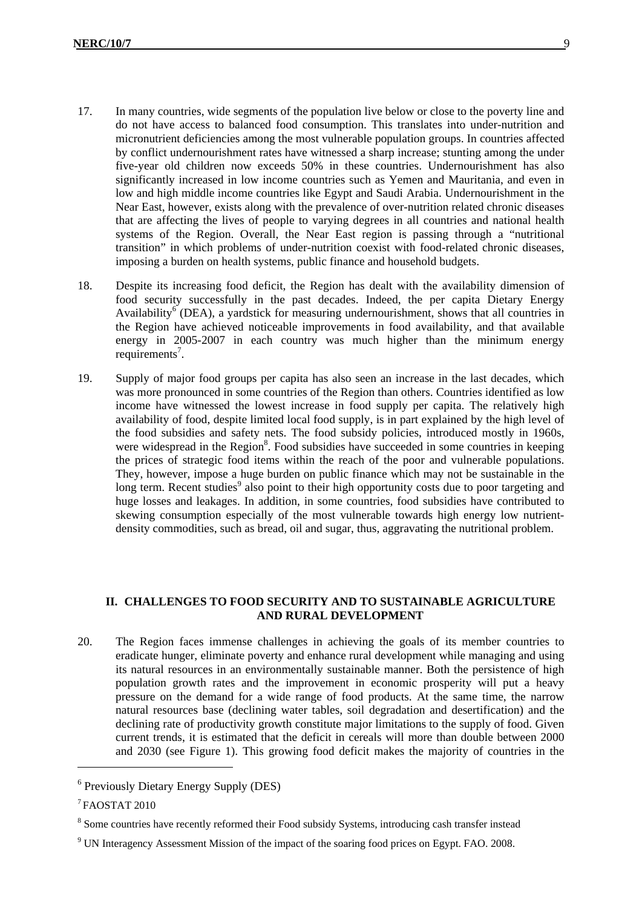- 17. In many countries, wide segments of the population live below or close to the poverty line and do not have access to balanced food consumption. This translates into under-nutrition and micronutrient deficiencies among the most vulnerable population groups. In countries affected by conflict undernourishment rates have witnessed a sharp increase; stunting among the under five-year old children now exceeds 50% in these countries. Undernourishment has also significantly increased in low income countries such as Yemen and Mauritania, and even in low and high middle income countries like Egypt and Saudi Arabia. Undernourishment in the Near East, however, exists along with the prevalence of over-nutrition related chronic diseases that are affecting the lives of people to varying degrees in all countries and national health systems of the Region. Overall, the Near East region is passing through a "nutritional transition" in which problems of under-nutrition coexist with food-related chronic diseases, imposing a burden on health systems, public finance and household budgets.
- 18. Despite its increasing food deficit, the Region has dealt with the availability dimension of food security successfully in the past decades. Indeed, the per capita Dietary Energy Availability<sup>6</sup> (DEA), a yardstick for measuring undernourishment, shows that all countries in the Region have achieved noticeable improvements in food availability, and that available energy in 2005-2007 in each country was much higher than the minimum energy requirements<sup>7</sup>.
- 19. Supply of major food groups per capita has also seen an increase in the last decades, which was more pronounced in some countries of the Region than others. Countries identified as low income have witnessed the lowest increase in food supply per capita. The relatively high availability of food, despite limited local food supply, is in part explained by the high level of the food subsidies and safety nets. The food subsidy policies, introduced mostly in 1960s, were widespread in the Region<sup>8</sup>. Food subsidies have succeeded in some countries in keeping the prices of strategic food items within the reach of the poor and vulnerable populations. They, however, impose a huge burden on public finance which may not be sustainable in the long term. Recent studies<sup>9</sup> also point to their high opportunity costs due to poor targeting and huge losses and leakages. In addition, in some countries, food subsidies have contributed to skewing consumption especially of the most vulnerable towards high energy low nutrientdensity commodities, such as bread, oil and sugar, thus, aggravating the nutritional problem.

# **II. CHALLENGES TO FOOD SECURITY AND TO SUSTAINABLE AGRICULTURE AND RURAL DEVELOPMENT**

20. The Region faces immense challenges in achieving the goals of its member countries to eradicate hunger, eliminate poverty and enhance rural development while managing and using its natural resources in an environmentally sustainable manner. Both the persistence of high population growth rates and the improvement in economic prosperity will put a heavy pressure on the demand for a wide range of food products. At the same time, the narrow natural resources base (declining water tables, soil degradation and desertification) and the declining rate of productivity growth constitute major limitations to the supply of food. Given current trends, it is estimated that the deficit in cereals will more than double between 2000 and 2030 (see Figure 1). This growing food deficit makes the majority of countries in the

1

<sup>6</sup> Previously Dietary Energy Supply (DES)

 $7$ FAOSTAT 2010

<sup>&</sup>lt;sup>8</sup> Some countries have recently reformed their Food subsidy Systems, introducing cash transfer instead

<sup>&</sup>lt;sup>9</sup> UN Interagency Assessment Mission of the impact of the soaring food prices on Egypt. FAO. 2008.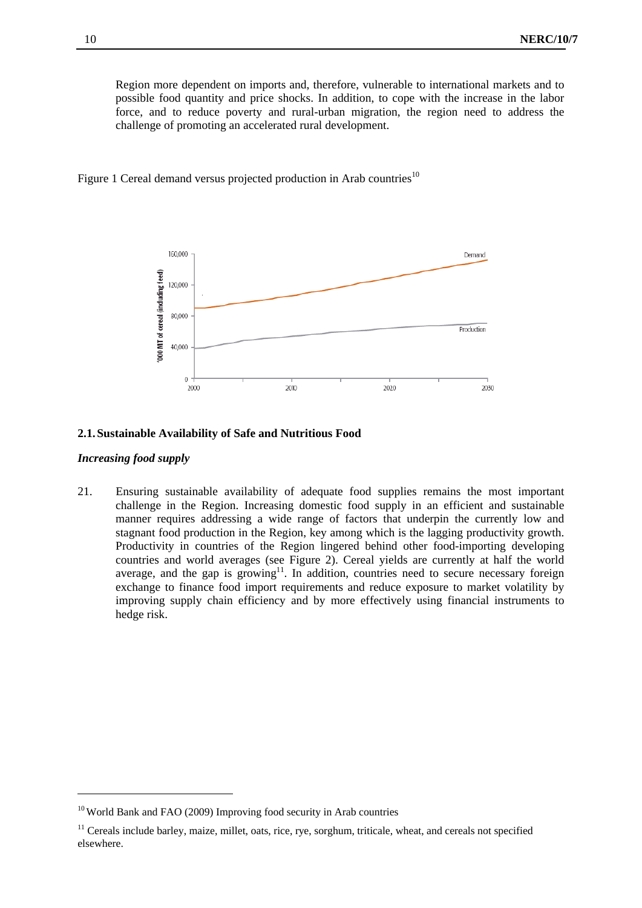Region more dependent on imports and, therefore, vulnerable to international markets and to possible food quantity and price shocks. In addition, to cope with the increase in the labor force, and to reduce poverty and rural-urban migration, the region need to address the challenge of promoting an accelerated rural development.

Figure 1 Cereal demand versus projected production in Arab countries<sup>10</sup>



#### **2.1.Sustainable Availability of Safe and Nutritious Food**

#### *Increasing food supply*

-

21. Ensuring sustainable availability of adequate food supplies remains the most important challenge in the Region. Increasing domestic food supply in an efficient and sustainable manner requires addressing a wide range of factors that underpin the currently low and stagnant food production in the Region, key among which is the lagging productivity growth. Productivity in countries of the Region lingered behind other food-importing developing countries and world averages (see Figure 2). Cereal yields are currently at half the world average, and the gap is growing<sup>11</sup>. In addition, countries need to secure necessary foreign exchange to finance food import requirements and reduce exposure to market volatility by improving supply chain efficiency and by more effectively using financial instruments to hedge risk.

<sup>10</sup> World Bank and FAO (2009) Improving food security in Arab countries

<sup>&</sup>lt;sup>11</sup> Cereals include barley, maize, millet, oats, rice, rye, sorghum, triticale, wheat, and cereals not specified elsewhere.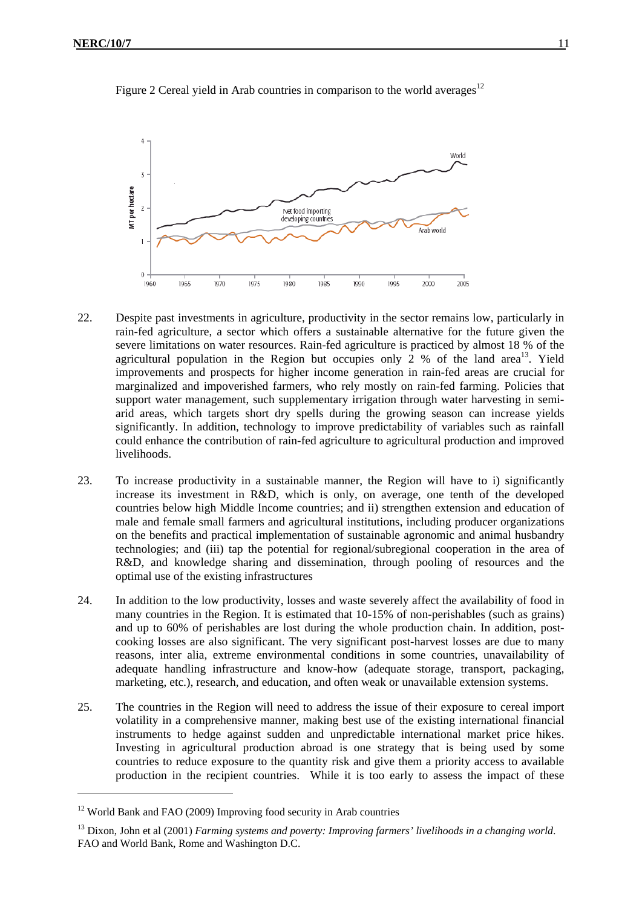



- 22. Despite past investments in agriculture, productivity in the sector remains low, particularly in rain-fed agriculture, a sector which offers a sustainable alternative for the future given the severe limitations on water resources. Rain-fed agriculture is practiced by almost 18 % of the agricultural population in the Region but occupies only 2 % of the land area<sup>13</sup>. Yield improvements and prospects for higher income generation in rain-fed areas are crucial for marginalized and impoverished farmers, who rely mostly on rain-fed farming. Policies that support water management, such supplementary irrigation through water harvesting in semiarid areas, which targets short dry spells during the growing season can increase yields significantly. In addition, technology to improve predictability of variables such as rainfall could enhance the contribution of rain-fed agriculture to agricultural production and improved livelihoods.
- 23. To increase productivity in a sustainable manner, the Region will have to i) significantly increase its investment in R&D, which is only, on average, one tenth of the developed countries below high Middle Income countries; and ii) strengthen extension and education of male and female small farmers and agricultural institutions, including producer organizations on the benefits and practical implementation of sustainable agronomic and animal husbandry technologies; and (iii) tap the potential for regional/subregional cooperation in the area of R&D, and knowledge sharing and dissemination, through pooling of resources and the optimal use of the existing infrastructures
- 24. In addition to the low productivity, losses and waste severely affect the availability of food in many countries in the Region. It is estimated that 10-15% of non-perishables (such as grains) and up to 60% of perishables are lost during the whole production chain. In addition, postcooking losses are also significant. The very significant post-harvest losses are due to many reasons, inter alia, extreme environmental conditions in some countries, unavailability of adequate handling infrastructure and know-how (adequate storage, transport, packaging, marketing, etc.), research, and education, and often weak or unavailable extension systems.
- 25. The countries in the Region will need to address the issue of their exposure to cereal import volatility in a comprehensive manner, making best use of the existing international financial instruments to hedge against sudden and unpredictable international market price hikes. Investing in agricultural production abroad is one strategy that is being used by some countries to reduce exposure to the quantity risk and give them a priority access to available production in the recipient countries. While it is too early to assess the impact of these

-

<sup>&</sup>lt;sup>12</sup> World Bank and FAO (2009) Improving food security in Arab countries

<sup>13</sup> Dixon, John et al (2001) *Farming systems and poverty: Improving farmers' livelihoods in a changing world*. FAO and World Bank, Rome and Washington D.C.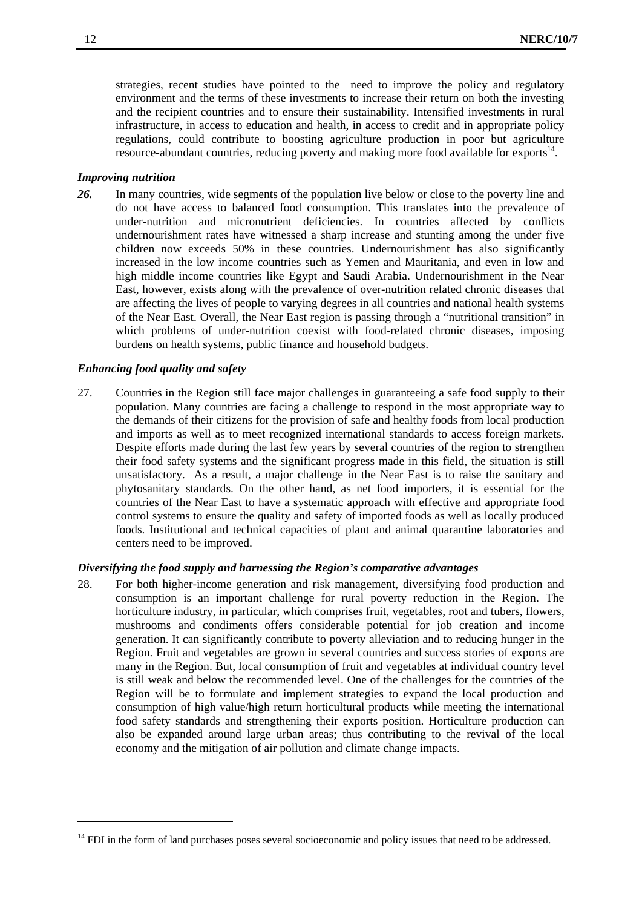strategies, recent studies have pointed to the need to improve the policy and regulatory environment and the terms of these investments to increase their return on both the investing and the recipient countries and to ensure their sustainability. Intensified investments in rural infrastructure, in access to education and health, in access to credit and in appropriate policy regulations, could contribute to boosting agriculture production in poor but agriculture resource-abundant countries, reducing poverty and making more food available for exports<sup>14</sup>.

#### *Improving nutrition*

*26.* In many countries, wide segments of the population live below or close to the poverty line and do not have access to balanced food consumption. This translates into the prevalence of under-nutrition and micronutrient deficiencies. In countries affected by conflicts undernourishment rates have witnessed a sharp increase and stunting among the under five children now exceeds 50% in these countries. Undernourishment has also significantly increased in the low income countries such as Yemen and Mauritania, and even in low and high middle income countries like Egypt and Saudi Arabia. Undernourishment in the Near East, however, exists along with the prevalence of over-nutrition related chronic diseases that are affecting the lives of people to varying degrees in all countries and national health systems of the Near East. Overall, the Near East region is passing through a "nutritional transition" in which problems of under-nutrition coexist with food-related chronic diseases, imposing burdens on health systems, public finance and household budgets.

#### *Enhancing food quality and safety*

27. Countries in the Region still face major challenges in guaranteeing a safe food supply to their population. Many countries are facing a challenge to respond in the most appropriate way to the demands of their citizens for the provision of safe and healthy foods from local production and imports as well as to meet recognized international standards to access foreign markets. Despite efforts made during the last few years by several countries of the region to strengthen their food safety systems and the significant progress made in this field, the situation is still unsatisfactory. As a result, a major challenge in the Near East is to raise the sanitary and phytosanitary standards. On the other hand, as net food importers, it is essential for the countries of the Near East to have a systematic approach with effective and appropriate food control systems to ensure the quality and safety of imported foods as well as locally produced foods. Institutional and technical capacities of plant and animal quarantine laboratories and centers need to be improved.

#### *Diversifying the food supply and harnessing the Region's comparative advantages*

28. For both higher-income generation and risk management, diversifying food production and consumption is an important challenge for rural poverty reduction in the Region. The horticulture industry, in particular, which comprises fruit, vegetables, root and tubers, flowers, mushrooms and condiments offers considerable potential for job creation and income generation. It can significantly contribute to poverty alleviation and to reducing hunger in the Region. Fruit and vegetables are grown in several countries and success stories of exports are many in the Region. But, local consumption of fruit and vegetables at individual country level is still weak and below the recommended level. One of the challenges for the countries of the Region will be to formulate and implement strategies to expand the local production and consumption of high value/high return horticultural products while meeting the international food safety standards and strengthening their exports position. Horticulture production can also be expanded around large urban areas; thus contributing to the revival of the local economy and the mitigation of air pollution and climate change impacts.

1

<sup>&</sup>lt;sup>14</sup> FDI in the form of land purchases poses several socioeconomic and policy issues that need to be addressed.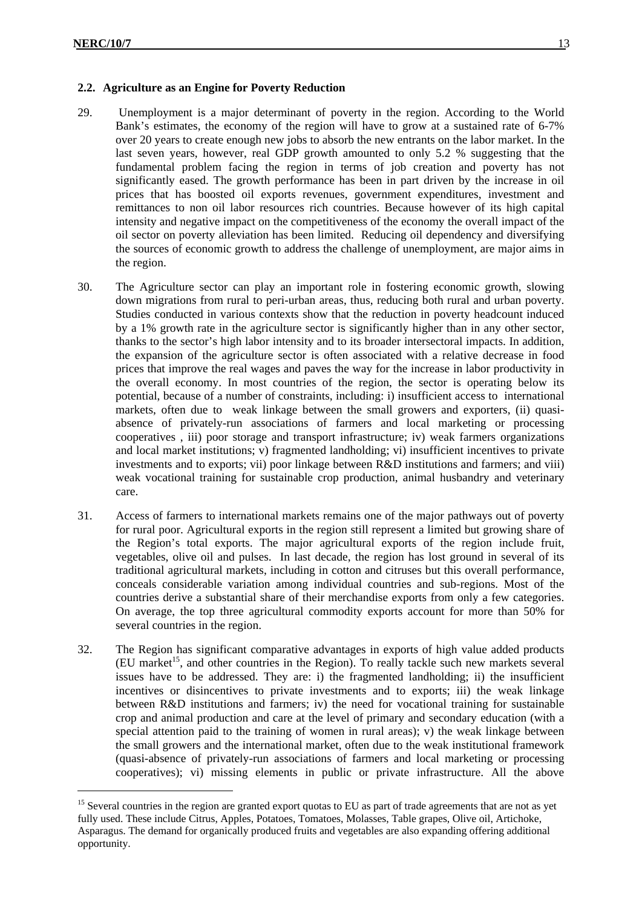1

# **2.2. Agriculture as an Engine for Poverty Reduction**

- 29. Unemployment is a major determinant of poverty in the region. According to the World Bank's estimates, the economy of the region will have to grow at a sustained rate of 6-7% over 20 years to create enough new jobs to absorb the new entrants on the labor market. In the last seven years, however, real GDP growth amounted to only 5.2 % suggesting that the fundamental problem facing the region in terms of job creation and poverty has not significantly eased. The growth performance has been in part driven by the increase in oil prices that has boosted oil exports revenues, government expenditures, investment and remittances to non oil labor resources rich countries. Because however of its high capital intensity and negative impact on the competitiveness of the economy the overall impact of the oil sector on poverty alleviation has been limited. Reducing oil dependency and diversifying the sources of economic growth to address the challenge of unemployment, are major aims in the region.
- 30. The Agriculture sector can play an important role in fostering economic growth, slowing down migrations from rural to peri-urban areas, thus, reducing both rural and urban poverty. Studies conducted in various contexts show that the reduction in poverty headcount induced by a 1% growth rate in the agriculture sector is significantly higher than in any other sector, thanks to the sector's high labor intensity and to its broader intersectoral impacts. In addition, the expansion of the agriculture sector is often associated with a relative decrease in food prices that improve the real wages and paves the way for the increase in labor productivity in the overall economy. In most countries of the region, the sector is operating below its potential, because of a number of constraints, including: i) insufficient access to international markets, often due to weak linkage between the small growers and exporters, (ii) quasiabsence of privately-run associations of farmers and local marketing or processing cooperatives , iii) poor storage and transport infrastructure; iv) weak farmers organizations and local market institutions; v) fragmented landholding; vi) insufficient incentives to private investments and to exports; vii) poor linkage between R&D institutions and farmers; and viii) weak vocational training for sustainable crop production, animal husbandry and veterinary care.
- 31. Access of farmers to international markets remains one of the major pathways out of poverty for rural poor. Agricultural exports in the region still represent a limited but growing share of the Region's total exports. The major agricultural exports of the region include fruit, vegetables, olive oil and pulses. In last decade, the region has lost ground in several of its traditional agricultural markets, including in cotton and citruses but this overall performance, conceals considerable variation among individual countries and sub-regions. Most of the countries derive a substantial share of their merchandise exports from only a few categories. On average, the top three agricultural commodity exports account for more than 50% for several countries in the region.
- 32. The Region has significant comparative advantages in exports of high value added products  $(EU$  market<sup>15</sup>, and other countries in the Region). To really tackle such new markets several issues have to be addressed. They are: i) the fragmented landholding; ii) the insufficient incentives or disincentives to private investments and to exports; iii) the weak linkage between R&D institutions and farmers; iv) the need for vocational training for sustainable crop and animal production and care at the level of primary and secondary education (with a special attention paid to the training of women in rural areas); v) the weak linkage between the small growers and the international market, often due to the weak institutional framework (quasi-absence of privately-run associations of farmers and local marketing or processing cooperatives); vi) missing elements in public or private infrastructure. All the above

<sup>&</sup>lt;sup>15</sup> Several countries in the region are granted export quotas to EU as part of trade agreements that are not as yet fully used. These include Citrus, Apples, Potatoes, Tomatoes, Molasses, Table grapes, Olive oil, Artichoke, Asparagus. The demand for organically produced fruits and vegetables are also expanding offering additional opportunity.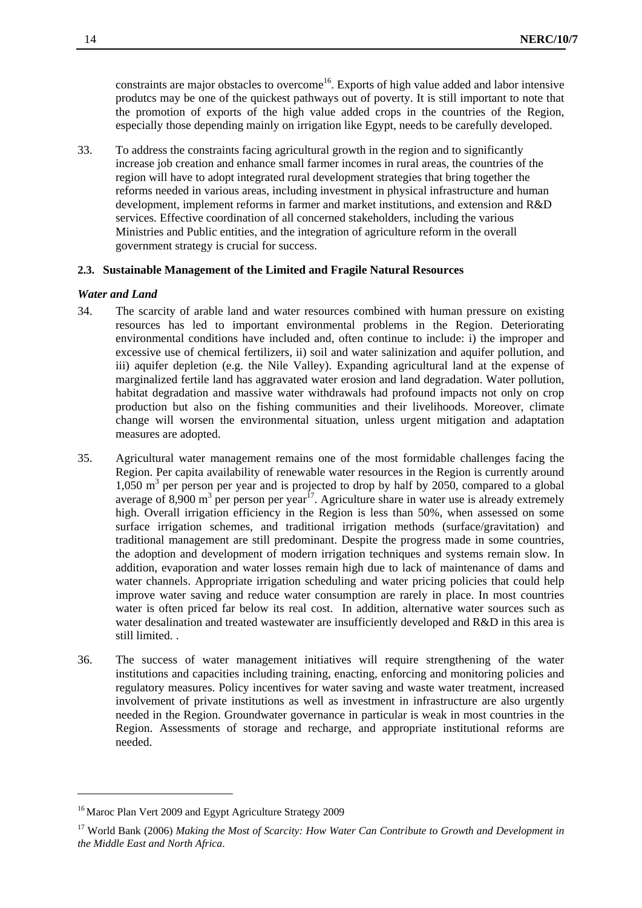constraints are major obstacles to overcome<sup>16</sup>. Exports of high value added and labor intensive produtcs may be one of the quickest pathways out of poverty. It is still important to note that the promotion of exports of the high value added crops in the countries of the Region, especially those depending mainly on irrigation like Egypt, needs to be carefully developed.

33. To address the constraints facing agricultural growth in the region and to significantly increase job creation and enhance small farmer incomes in rural areas, the countries of the region will have to adopt integrated rural development strategies that bring together the reforms needed in various areas, including investment in physical infrastructure and human development, implement reforms in farmer and market institutions, and extension and R&D services. Effective coordination of all concerned stakeholders, including the various Ministries and Public entities, and the integration of agriculture reform in the overall government strategy is crucial for success.

# **2.3. Sustainable Management of the Limited and Fragile Natural Resources**

#### *Water and Land*

- 34. The scarcity of arable land and water resources combined with human pressure on existing resources has led to important environmental problems in the Region. Deteriorating environmental conditions have included and, often continue to include: i) the improper and excessive use of chemical fertilizers, ii) soil and water salinization and aquifer pollution, and iii) aquifer depletion (e.g. the Nile Valley). Expanding agricultural land at the expense of marginalized fertile land has aggravated water erosion and land degradation. Water pollution, habitat degradation and massive water withdrawals had profound impacts not only on crop production but also on the fishing communities and their livelihoods. Moreover, climate change will worsen the environmental situation, unless urgent mitigation and adaptation measures are adopted.
- 35. Agricultural water management remains one of the most formidable challenges facing the Region. Per capita availability of renewable water resources in the Region is currently around 1,050 m3 per person per year and is projected to drop by half by 2050, compared to a global average of 8,900  $m^3$  per person per year<sup>17</sup>. Agriculture share in water use is already extremely high. Overall irrigation efficiency in the Region is less than 50%, when assessed on some surface irrigation schemes, and traditional irrigation methods (surface/gravitation) and traditional management are still predominant. Despite the progress made in some countries, the adoption and development of modern irrigation techniques and systems remain slow. In addition, evaporation and water losses remain high due to lack of maintenance of dams and water channels. Appropriate irrigation scheduling and water pricing policies that could help improve water saving and reduce water consumption are rarely in place. In most countries water is often priced far below its real cost. In addition, alternative water sources such as water desalination and treated wastewater are insufficiently developed and R&D in this area is still limited. .
- 36. The success of water management initiatives will require strengthening of the water institutions and capacities including training, enacting, enforcing and monitoring policies and regulatory measures. Policy incentives for water saving and waste water treatment, increased involvement of private institutions as well as investment in infrastructure are also urgently needed in the Region. Groundwater governance in particular is weak in most countries in the Region. Assessments of storage and recharge, and appropriate institutional reforms are needed.

-

<sup>&</sup>lt;sup>16</sup> Maroc Plan Vert 2009 and Egypt Agriculture Strategy 2009

<sup>17</sup> World Bank (2006) *Making the Most of Scarcity: How Water Can Contribute to Growth and Development in the Middle East and North Africa*.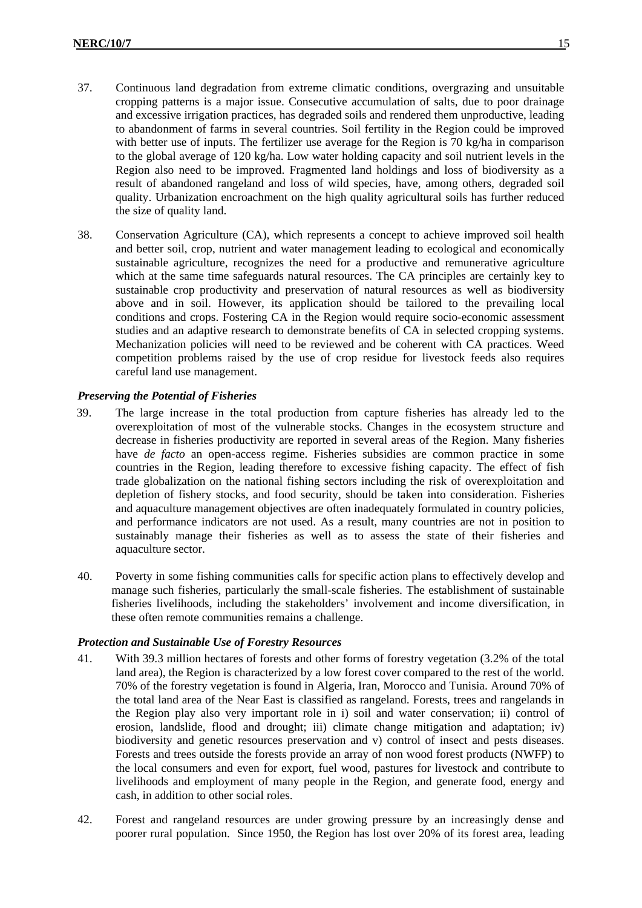- 37. Continuous land degradation from extreme climatic conditions, overgrazing and unsuitable cropping patterns is a major issue. Consecutive accumulation of salts, due to poor drainage and excessive irrigation practices, has degraded soils and rendered them unproductive, leading to abandonment of farms in several countries. Soil fertility in the Region could be improved with better use of inputs. The fertilizer use average for the Region is 70 kg/ha in comparison to the global average of 120 kg/ha. Low water holding capacity and soil nutrient levels in the Region also need to be improved. Fragmented land holdings and loss of biodiversity as a result of abandoned rangeland and loss of wild species, have, among others, degraded soil quality. Urbanization encroachment on the high quality agricultural soils has further reduced the size of quality land.
- 38. Conservation Agriculture (CA), which represents a concept to achieve improved soil health and better soil, crop, nutrient and water management leading to ecological and economically sustainable agriculture, recognizes the need for a productive and remunerative agriculture which at the same time safeguards natural resources. The CA principles are certainly key to sustainable crop productivity and preservation of natural resources as well as biodiversity above and in soil. However, its application should be tailored to the prevailing local conditions and crops. Fostering CA in the Region would require socio-economic assessment studies and an adaptive research to demonstrate benefits of CA in selected cropping systems. Mechanization policies will need to be reviewed and be coherent with CA practices. Weed competition problems raised by the use of crop residue for livestock feeds also requires careful land use management.

# *Preserving the Potential of Fisheries*

- 39. The large increase in the total production from capture fisheries has already led to the overexploitation of most of the vulnerable stocks. Changes in the ecosystem structure and decrease in fisheries productivity are reported in several areas of the Region. Many fisheries have *de facto* an open-access regime. Fisheries subsidies are common practice in some countries in the Region, leading therefore to excessive fishing capacity. The effect of fish trade globalization on the national fishing sectors including the risk of overexploitation and depletion of fishery stocks, and food security, should be taken into consideration. Fisheries and aquaculture management objectives are often inadequately formulated in country policies, and performance indicators are not used. As a result, many countries are not in position to sustainably manage their fisheries as well as to assess the state of their fisheries and aquaculture sector.
- 40. Poverty in some fishing communities calls for specific action plans to effectively develop and manage such fisheries, particularly the small-scale fisheries. The establishment of sustainable fisheries livelihoods, including the stakeholders' involvement and income diversification, in these often remote communities remains a challenge.

# *Protection and Sustainable Use of Forestry Resources*

- 41. With 39.3 million hectares of forests and other forms of forestry vegetation (3.2% of the total land area), the Region is characterized by a low forest cover compared to the rest of the world. 70% of the forestry vegetation is found in Algeria, Iran, Morocco and Tunisia. Around 70% of the total land area of the Near East is classified as rangeland. Forests, trees and rangelands in the Region play also very important role in i) soil and water conservation; ii) control of erosion, landslide, flood and drought; iii) climate change mitigation and adaptation; iv) biodiversity and genetic resources preservation and v) control of insect and pests diseases. Forests and trees outside the forests provide an array of non wood forest products (NWFP) to the local consumers and even for export, fuel wood, pastures for livestock and contribute to livelihoods and employment of many people in the Region, and generate food, energy and cash, in addition to other social roles.
- 42. Forest and rangeland resources are under growing pressure by an increasingly dense and poorer rural population. Since 1950, the Region has lost over 20% of its forest area, leading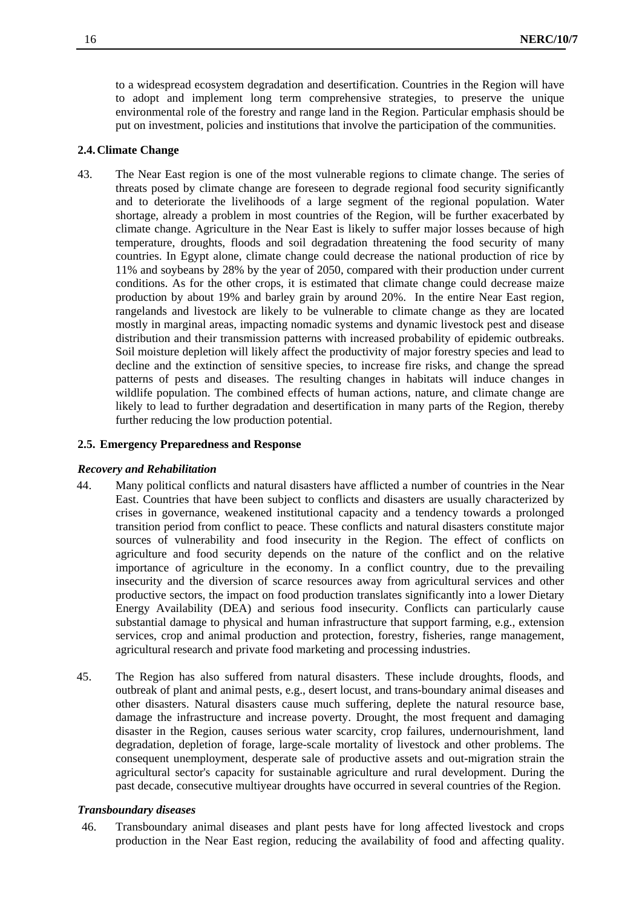to a widespread ecosystem degradation and desertification. Countries in the Region will have to adopt and implement long term comprehensive strategies, to preserve the unique environmental role of the forestry and range land in the Region. Particular emphasis should be put on investment, policies and institutions that involve the participation of the communities.

# **2.4.Climate Change**

43. The Near East region is one of the most vulnerable regions to climate change. The series of threats posed by climate change are foreseen to degrade regional food security significantly and to deteriorate the livelihoods of a large segment of the regional population. Water shortage, already a problem in most countries of the Region, will be further exacerbated by climate change. Agriculture in the Near East is likely to suffer major losses because of high temperature, droughts, floods and soil degradation threatening the food security of many countries. In Egypt alone, climate change could decrease the national production of rice by 11% and soybeans by 28% by the year of 2050, compared with their production under current conditions. As for the other crops, it is estimated that climate change could decrease maize production by about 19% and barley grain by around 20%. In the entire Near East region, rangelands and livestock are likely to be vulnerable to climate change as they are located mostly in marginal areas, impacting nomadic systems and dynamic livestock pest and disease distribution and their transmission patterns with increased probability of epidemic outbreaks. Soil moisture depletion will likely affect the productivity of major forestry species and lead to decline and the extinction of sensitive species, to increase fire risks, and change the spread patterns of pests and diseases. The resulting changes in habitats will induce changes in wildlife population. The combined effects of human actions, nature, and climate change are likely to lead to further degradation and desertification in many parts of the Region, thereby further reducing the low production potential.

#### **2.5. Emergency Preparedness and Response**

#### *Recovery and Rehabilitation*

- 44. Many political conflicts and natural disasters have afflicted a number of countries in the Near East. Countries that have been subject to conflicts and disasters are usually characterized by crises in governance, weakened institutional capacity and a tendency towards a prolonged transition period from conflict to peace. These conflicts and natural disasters constitute major sources of vulnerability and food insecurity in the Region. The effect of conflicts on agriculture and food security depends on the nature of the conflict and on the relative importance of agriculture in the economy. In a conflict country, due to the prevailing insecurity and the diversion of scarce resources away from agricultural services and other productive sectors, the impact on food production translates significantly into a lower Dietary Energy Availability (DEA) and serious food insecurity. Conflicts can particularly cause substantial damage to physical and human infrastructure that support farming, e.g., extension services, crop and animal production and protection, forestry, fisheries, range management, agricultural research and private food marketing and processing industries.
- 45. The Region has also suffered from natural disasters. These include droughts, floods, and outbreak of plant and animal pests, e.g., desert locust, and trans-boundary animal diseases and other disasters. Natural disasters cause much suffering, deplete the natural resource base, damage the infrastructure and increase poverty. Drought, the most frequent and damaging disaster in the Region, causes serious water scarcity, crop failures, undernourishment, land degradation, depletion of forage, large-scale mortality of livestock and other problems. The consequent unemployment, desperate sale of productive assets and out-migration strain the agricultural sector's capacity for sustainable agriculture and rural development. During the past decade, consecutive multiyear droughts have occurred in several countries of the Region.

# *Transboundary diseases*

46. Transboundary animal diseases and plant pests have for long affected livestock and crops production in the Near East region, reducing the availability of food and affecting quality.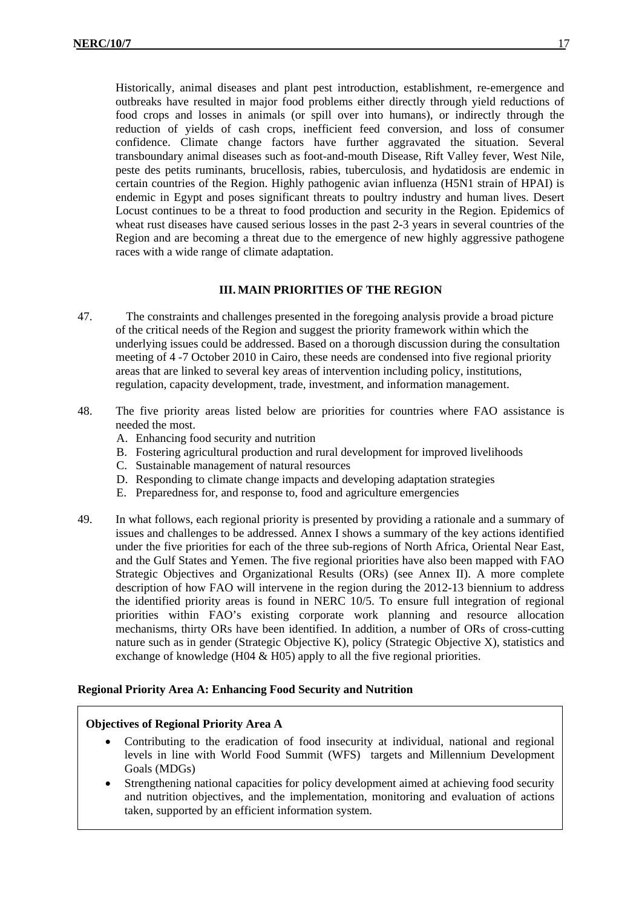Historically, animal diseases and plant pest introduction, establishment, re-emergence and outbreaks have resulted in major food problems either directly through yield reductions of food crops and losses in animals (or spill over into humans), or indirectly through the reduction of yields of cash crops, inefficient feed conversion, and loss of consumer confidence. Climate change factors have further aggravated the situation. Several transboundary animal diseases such as foot-and-mouth Disease, Rift Valley fever, West Nile, peste des petits ruminants, brucellosis, rabies, tuberculosis, and hydatidosis are endemic in certain countries of the Region. Highly pathogenic avian influenza (H5N1 strain of HPAI) is endemic in Egypt and poses significant threats to poultry industry and human lives. Desert Locust continues to be a threat to food production and security in the Region. Epidemics of wheat rust diseases have caused serious losses in the past 2-3 years in several countries of the Region and are becoming a threat due to the emergence of new highly aggressive pathogene races with a wide range of climate adaptation.

# **III. MAIN PRIORITIES OF THE REGION**

- 47. The constraints and challenges presented in the foregoing analysis provide a broad picture of the critical needs of the Region and suggest the priority framework within which the underlying issues could be addressed. Based on a thorough discussion during the consultation meeting of 4 -7 October 2010 in Cairo, these needs are condensed into five regional priority areas that are linked to several key areas of intervention including policy, institutions, regulation, capacity development, trade, investment, and information management.
- 48. The five priority areas listed below are priorities for countries where FAO assistance is needed the most.
	- A. Enhancing food security and nutrition
	- B. Fostering agricultural production and rural development for improved livelihoods
	- C. Sustainable management of natural resources
	- D. Responding to climate change impacts and developing adaptation strategies
	- E. Preparedness for, and response to, food and agriculture emergencies
- 49. In what follows, each regional priority is presented by providing a rationale and a summary of issues and challenges to be addressed. Annex I shows a summary of the key actions identified under the five priorities for each of the three sub-regions of North Africa, Oriental Near East, and the Gulf States and Yemen. The five regional priorities have also been mapped with FAO Strategic Objectives and Organizational Results (ORs) (see Annex II). A more complete description of how FAO will intervene in the region during the 2012-13 biennium to address the identified priority areas is found in NERC 10/5. To ensure full integration of regional priorities within FAO's existing corporate work planning and resource allocation mechanisms, thirty ORs have been identified. In addition, a number of ORs of cross-cutting nature such as in gender (Strategic Objective K), policy (Strategic Objective X), statistics and exchange of knowledge (H04 & H05) apply to all the five regional priorities.

#### **Regional Priority Area A: Enhancing Food Security and Nutrition**

#### **Objectives of Regional Priority Area A**

- Contributing to the eradication of food insecurity at individual, national and regional levels in line with World Food Summit (WFS) targets and Millennium Development Goals (MDGs)
- Strengthening national capacities for policy development aimed at achieving food security and nutrition objectives, and the implementation, monitoring and evaluation of actions taken, supported by an efficient information system.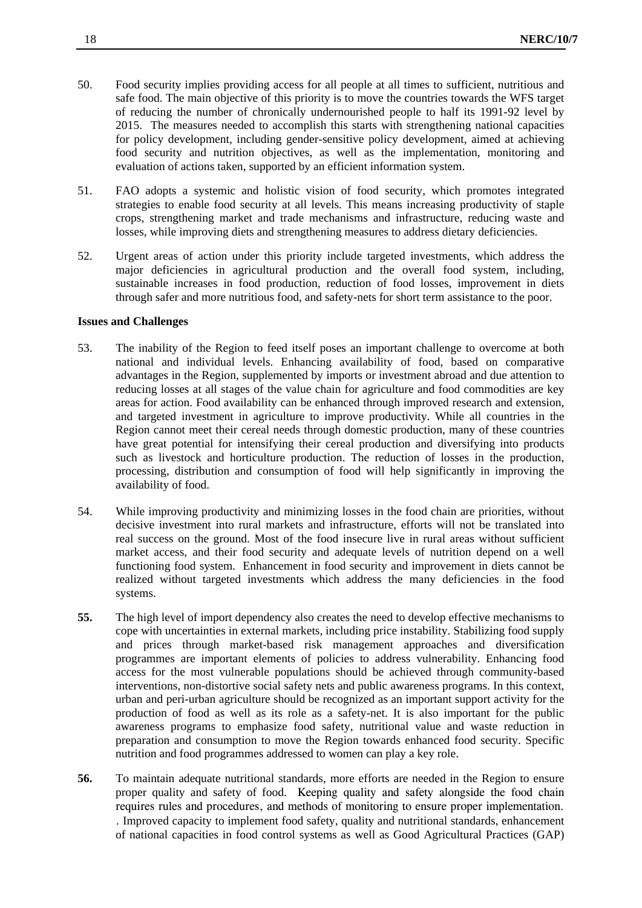- 50. Food security implies providing access for all people at all times to sufficient, nutritious and safe food. The main objective of this priority is to move the countries towards the WFS target of reducing the number of chronically undernourished people to half its 1991-92 level by 2015. The measures needed to accomplish this starts with strengthening national capacities for policy development, including gender-sensitive policy development, aimed at achieving food security and nutrition objectives, as well as the implementation, monitoring and evaluation of actions taken, supported by an efficient information system.
- 51. FAO adopts a systemic and holistic vision of food security, which promotes integrated strategies to enable food security at all levels. This means increasing productivity of staple crops, strengthening market and trade mechanisms and infrastructure, reducing waste and losses, while improving diets and strengthening measures to address dietary deficiencies.
- 52. Urgent areas of action under this priority include targeted investments, which address the major deficiencies in agricultural production and the overall food system, including, sustainable increases in food production, reduction of food losses, improvement in diets through safer and more nutritious food, and safety-nets for short term assistance to the poor.

#### **Issues and Challenges**

- 53. The inability of the Region to feed itself poses an important challenge to overcome at both national and individual levels. Enhancing availability of food, based on comparative advantages in the Region, supplemented by imports or investment abroad and due attention to reducing losses at all stages of the value chain for agriculture and food commodities are key areas for action. Food availability can be enhanced through improved research and extension, and targeted investment in agriculture to improve productivity. While all countries in the Region cannot meet their cereal needs through domestic production, many of these countries have great potential for intensifying their cereal production and diversifying into products such as livestock and horticulture production. The reduction of losses in the production, processing, distribution and consumption of food will help significantly in improving the availability of food.
- 54. While improving productivity and minimizing losses in the food chain are priorities, without decisive investment into rural markets and infrastructure, efforts will not be translated into real success on the ground. Most of the food insecure live in rural areas without sufficient market access, and their food security and adequate levels of nutrition depend on a well functioning food system. Enhancement in food security and improvement in diets cannot be realized without targeted investments which address the many deficiencies in the food systems.
- **55.** The high level of import dependency also creates the need to develop effective mechanisms to cope with uncertainties in external markets, including price instability. Stabilizing food supply and prices through market-based risk management approaches and diversification programmes are important elements of policies to address vulnerability. Enhancing food access for the most vulnerable populations should be achieved through community-based interventions, non-distortive social safety nets and public awareness programs. In this context, urban and peri-urban agriculture should be recognized as an important support activity for the production of food as well as its role as a safety-net. It is also important for the public awareness programs to emphasize food safety, nutritional value and waste reduction in preparation and consumption to move the Region towards enhanced food security. Specific nutrition and food programmes addressed to women can play a key role.
- **56.** To maintain adequate nutritional standards, more efforts are needed in the Region to ensure proper quality and safety of food. Keeping quality and safety alongside the food chain requires rules and procedures, and methods of monitoring to ensure proper implementation. . Improved capacity to implement food safety, quality and nutritional standards, enhancement of national capacities in food control systems as well as Good Agricultural Practices (GAP)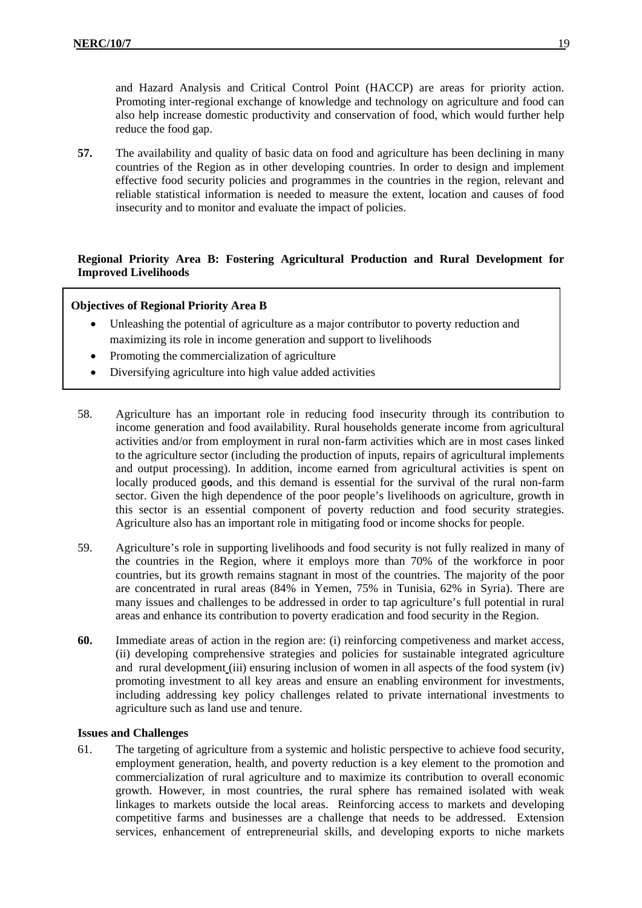and Hazard Analysis and Critical Control Point (HACCP) are areas for priority action. Promoting inter-regional exchange of knowledge and technology on agriculture and food can also help increase domestic productivity and conservation of food, which would further help reduce the food gap.

**57.** The availability and quality of basic data on food and agriculture has been declining in many countries of the Region as in other developing countries. In order to design and implement effective food security policies and programmes in the countries in the region, relevant and reliable statistical information is needed to measure the extent, location and causes of food insecurity and to monitor and evaluate the impact of policies.

# **Regional Priority Area B: Fostering Agricultural Production and Rural Development for Improved Livelihoods**

# **Objectives of Regional Priority Area B**

- Unleashing the potential of agriculture as a major contributor to poverty reduction and maximizing its role in income generation and support to livelihoods
- Promoting the commercialization of agriculture
- Diversifying agriculture into high value added activities
- 58. Agriculture has an important role in reducing food insecurity through its contribution to income generation and food availability. Rural households generate income from agricultural activities and/or from employment in rural non-farm activities which are in most cases linked to the agriculture sector (including the production of inputs, repairs of agricultural implements and output processing). In addition, income earned from agricultural activities is spent on locally produced g**o**ods, and this demand is essential for the survival of the rural non-farm sector. Given the high dependence of the poor people's livelihoods on agriculture, growth in this sector is an essential component of poverty reduction and food security strategies. Agriculture also has an important role in mitigating food or income shocks for people.
- 59. Agriculture's role in supporting livelihoods and food security is not fully realized in many of the countries in the Region, where it employs more than 70% of the workforce in poor countries, but its growth remains stagnant in most of the countries. The majority of the poor are concentrated in rural areas (84% in Yemen, 75% in Tunisia, 62% in Syria). There are many issues and challenges to be addressed in order to tap agriculture's full potential in rural areas and enhance its contribution to poverty eradication and food security in the Region.
- **60.** Immediate areas of action in the region are: (i) reinforcing competiveness and market access, (ii) developing comprehensive strategies and policies for sustainable integrated agriculture and rural development (iii) ensuring inclusion of women in all aspects of the food system (iv) promoting investment to all key areas and ensure an enabling environment for investments, including addressing key policy challenges related to private international investments to agriculture such as land use and tenure.

#### **Issues and Challenges**

61. The targeting of agriculture from a systemic and holistic perspective to achieve food security, employment generation, health, and poverty reduction is a key element to the promotion and commercialization of rural agriculture and to maximize its contribution to overall economic growth. However, in most countries, the rural sphere has remained isolated with weak linkages to markets outside the local areas. Reinforcing access to markets and developing competitive farms and businesses are a challenge that needs to be addressed. Extension services, enhancement of entrepreneurial skills, and developing exports to niche markets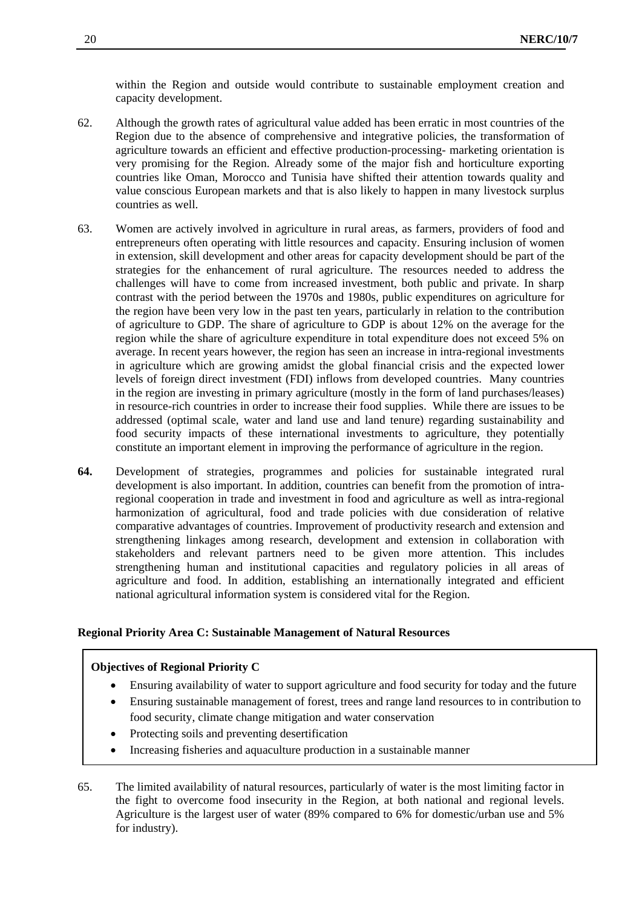within the Region and outside would contribute to sustainable employment creation and capacity development.

- 62. Although the growth rates of agricultural value added has been erratic in most countries of the Region due to the absence of comprehensive and integrative policies, the transformation of agriculture towards an efficient and effective production-processing- marketing orientation is very promising for the Region. Already some of the major fish and horticulture exporting countries like Oman, Morocco and Tunisia have shifted their attention towards quality and value conscious European markets and that is also likely to happen in many livestock surplus countries as well.
- 63. Women are actively involved in agriculture in rural areas, as farmers, providers of food and entrepreneurs often operating with little resources and capacity. Ensuring inclusion of women in extension, skill development and other areas for capacity development should be part of the strategies for the enhancement of rural agriculture. The resources needed to address the challenges will have to come from increased investment, both public and private. In sharp contrast with the period between the 1970s and 1980s, public expenditures on agriculture for the region have been very low in the past ten years, particularly in relation to the contribution of agriculture to GDP. The share of agriculture to GDP is about 12% on the average for the region while the share of agriculture expenditure in total expenditure does not exceed 5% on average. In recent years however, the region has seen an increase in intra-regional investments in agriculture which are growing amidst the global financial crisis and the expected lower levels of foreign direct investment (FDI) inflows from developed countries. Many countries in the region are investing in primary agriculture (mostly in the form of land purchases/leases) in resource-rich countries in order to increase their food supplies. While there are issues to be addressed (optimal scale, water and land use and land tenure) regarding sustainability and food security impacts of these international investments to agriculture, they potentially constitute an important element in improving the performance of agriculture in the region.
- **64.** Development of strategies, programmes and policies for sustainable integrated rural development is also important. In addition, countries can benefit from the promotion of intraregional cooperation in trade and investment in food and agriculture as well as intra-regional harmonization of agricultural, food and trade policies with due consideration of relative comparative advantages of countries. Improvement of productivity research and extension and strengthening linkages among research, development and extension in collaboration with stakeholders and relevant partners need to be given more attention. This includes strengthening human and institutional capacities and regulatory policies in all areas of agriculture and food. In addition, establishing an internationally integrated and efficient national agricultural information system is considered vital for the Region.

#### **Regional Priority Area C: Sustainable Management of Natural Resources**

# **Objectives of Regional Priority C**

- Ensuring availability of water to support agriculture and food security for today and the future
- Ensuring sustainable management of forest, trees and range land resources to in contribution to food security, climate change mitigation and water conservation
- Protecting soils and preventing desertification
- Increasing fisheries and aquaculture production in a sustainable manner

65. The limited availability of natural resources, particularly of water is the most limiting factor in the fight to overcome food insecurity in the Region, at both national and regional levels. Agriculture is the largest user of water (89% compared to 6% for domestic/urban use and 5% for industry).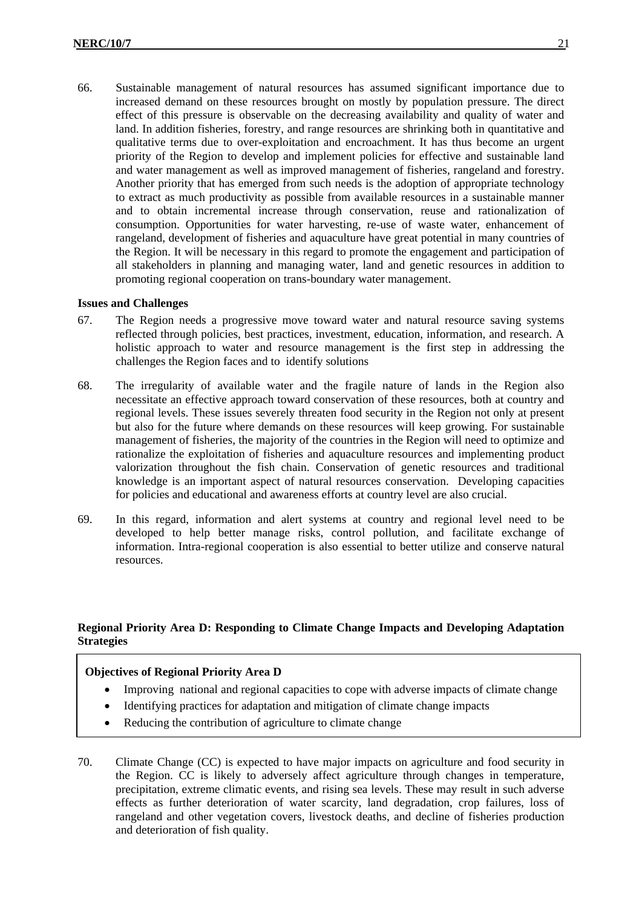66. Sustainable management of natural resources has assumed significant importance due to increased demand on these resources brought on mostly by population pressure. The direct effect of this pressure is observable on the decreasing availability and quality of water and land. In addition fisheries, forestry, and range resources are shrinking both in quantitative and qualitative terms due to over-exploitation and encroachment. It has thus become an urgent priority of the Region to develop and implement policies for effective and sustainable land and water management as well as improved management of fisheries, rangeland and forestry. Another priority that has emerged from such needs is the adoption of appropriate technology to extract as much productivity as possible from available resources in a sustainable manner and to obtain incremental increase through conservation, reuse and rationalization of consumption. Opportunities for water harvesting, re-use of waste water, enhancement of rangeland, development of fisheries and aquaculture have great potential in many countries of the Region. It will be necessary in this regard to promote the engagement and participation of all stakeholders in planning and managing water, land and genetic resources in addition to promoting regional cooperation on trans-boundary water management.

# **Issues and Challenges**

- 67. The Region needs a progressive move toward water and natural resource saving systems reflected through policies, best practices, investment, education, information, and research. A holistic approach to water and resource management is the first step in addressing the challenges the Region faces and to identify solutions
- 68. The irregularity of available water and the fragile nature of lands in the Region also necessitate an effective approach toward conservation of these resources, both at country and regional levels. These issues severely threaten food security in the Region not only at present but also for the future where demands on these resources will keep growing. For sustainable management of fisheries, the majority of the countries in the Region will need to optimize and rationalize the exploitation of fisheries and aquaculture resources and implementing product valorization throughout the fish chain. Conservation of genetic resources and traditional knowledge is an important aspect of natural resources conservation. Developing capacities for policies and educational and awareness efforts at country level are also crucial.
- 69. In this regard, information and alert systems at country and regional level need to be developed to help better manage risks, control pollution, and facilitate exchange of information. Intra-regional cooperation is also essential to better utilize and conserve natural resources.

# **Regional Priority Area D: Responding to Climate Change Impacts and Developing Adaptation Strategies**

# **Objectives of Regional Priority Area D**

- Improving national and regional capacities to cope with adverse impacts of climate change
- Identifying practices for adaptation and mitigation of climate change impacts
- Reducing the contribution of agriculture to climate change
- 70. Climate Change (CC) is expected to have major impacts on agriculture and food security in the Region. CC is likely to adversely affect agriculture through changes in temperature, precipitation, extreme climatic events, and rising sea levels. These may result in such adverse effects as further deterioration of water scarcity, land degradation, crop failures, loss of rangeland and other vegetation covers, livestock deaths, and decline of fisheries production and deterioration of fish quality.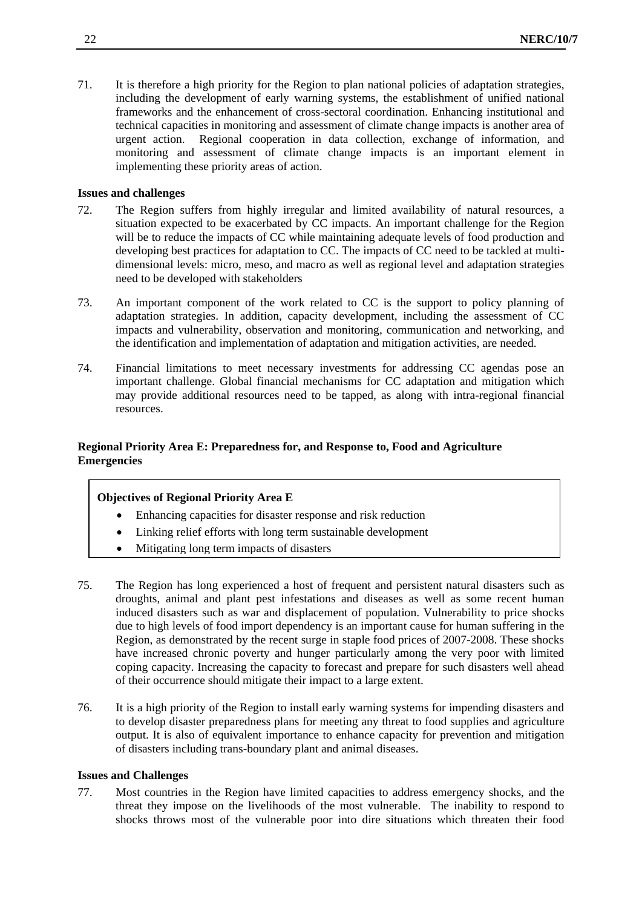71. It is therefore a high priority for the Region to plan national policies of adaptation strategies, including the development of early warning systems, the establishment of unified national frameworks and the enhancement of cross-sectoral coordination. Enhancing institutional and technical capacities in monitoring and assessment of climate change impacts is another area of urgent action. Regional cooperation in data collection, exchange of information, and monitoring and assessment of climate change impacts is an important element in implementing these priority areas of action.

#### **Issues and challenges**

- 72. The Region suffers from highly irregular and limited availability of natural resources, a situation expected to be exacerbated by CC impacts. An important challenge for the Region will be to reduce the impacts of CC while maintaining adequate levels of food production and developing best practices for adaptation to CC. The impacts of CC need to be tackled at multidimensional levels: micro, meso, and macro as well as regional level and adaptation strategies need to be developed with stakeholders
- 73. An important component of the work related to CC is the support to policy planning of adaptation strategies. In addition, capacity development, including the assessment of CC impacts and vulnerability, observation and monitoring, communication and networking, and the identification and implementation of adaptation and mitigation activities, are needed.
- 74. Financial limitations to meet necessary investments for addressing CC agendas pose an important challenge. Global financial mechanisms for CC adaptation and mitigation which may provide additional resources need to be tapped, as along with intra-regional financial resources.

# **Regional Priority Area E: Preparedness for, and Response to, Food and Agriculture Emergencies**

# **Objectives of Regional Priority Area E**

- Enhancing capacities for disaster response and risk reduction
- Linking relief efforts with long term sustainable development
- Mitigating long term impacts of disasters
- 75. The Region has long experienced a host of frequent and persistent natural disasters such as droughts, animal and plant pest infestations and diseases as well as some recent human induced disasters such as war and displacement of population. Vulnerability to price shocks due to high levels of food import dependency is an important cause for human suffering in the Region, as demonstrated by the recent surge in staple food prices of 2007-2008. These shocks have increased chronic poverty and hunger particularly among the very poor with limited coping capacity. Increasing the capacity to forecast and prepare for such disasters well ahead of their occurrence should mitigate their impact to a large extent.
- 76. It is a high priority of the Region to install early warning systems for impending disasters and to develop disaster preparedness plans for meeting any threat to food supplies and agriculture output. It is also of equivalent importance to enhance capacity for prevention and mitigation of disasters including trans-boundary plant and animal diseases.

#### **Issues and Challenges**

77. Most countries in the Region have limited capacities to address emergency shocks, and the threat they impose on the livelihoods of the most vulnerable. The inability to respond to shocks throws most of the vulnerable poor into dire situations which threaten their food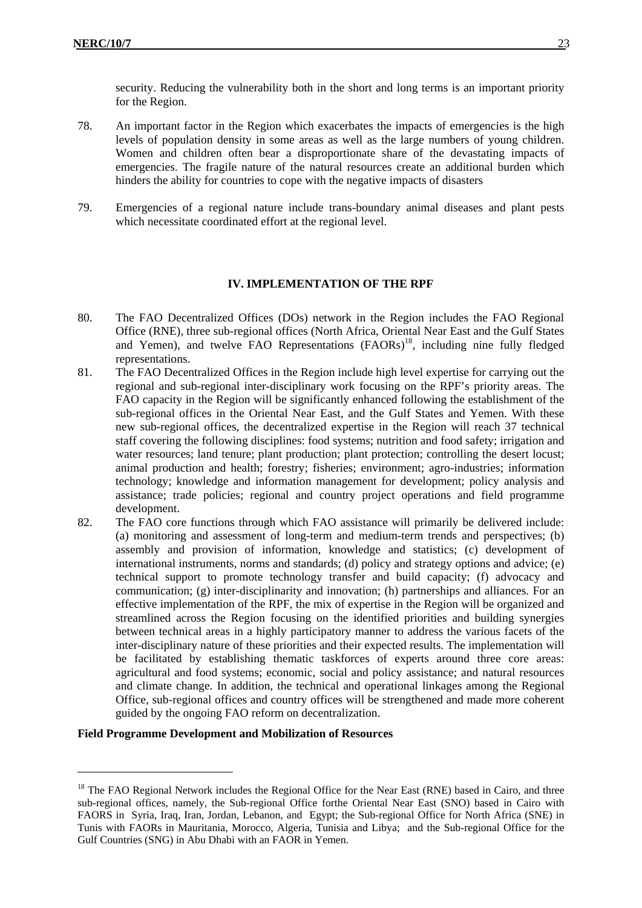security. Reducing the vulnerability both in the short and long terms is an important priority for the Region.

- 78. An important factor in the Region which exacerbates the impacts of emergencies is the high levels of population density in some areas as well as the large numbers of young children. Women and children often bear a disproportionate share of the devastating impacts of emergencies. The fragile nature of the natural resources create an additional burden which hinders the ability for countries to cope with the negative impacts of disasters
- 79. Emergencies of a regional nature include trans-boundary animal diseases and plant pests which necessitate coordinated effort at the regional level.

#### **IV. IMPLEMENTATION OF THE RPF**

- 80. The FAO Decentralized Offices (DOs) network in the Region includes the FAO Regional Office (RNE), three sub-regional offices (North Africa, Oriental Near East and the Gulf States and Yemen), and twelve FAO Representations (FAORs)<sup>18</sup>, including nine fully fledged representations.
- 81. The FAO Decentralized Offices in the Region include high level expertise for carrying out the regional and sub-regional inter-disciplinary work focusing on the RPF's priority areas. The FAO capacity in the Region will be significantly enhanced following the establishment of the sub-regional offices in the Oriental Near East, and the Gulf States and Yemen. With these new sub-regional offices, the decentralized expertise in the Region will reach 37 technical staff covering the following disciplines: food systems; nutrition and food safety; irrigation and water resources; land tenure; plant production; plant protection; controlling the desert locust; animal production and health; forestry; fisheries; environment; agro-industries; information technology; knowledge and information management for development; policy analysis and assistance; trade policies; regional and country project operations and field programme development.
- 82. The FAO core functions through which FAO assistance will primarily be delivered include: (a) monitoring and assessment of long-term and medium-term trends and perspectives; (b) assembly and provision of information, knowledge and statistics; (c) development of international instruments, norms and standards; (d) policy and strategy options and advice; (e) technical support to promote technology transfer and build capacity; (f) advocacy and communication; (g) inter-disciplinarity and innovation; (h) partnerships and alliances. For an effective implementation of the RPF, the mix of expertise in the Region will be organized and streamlined across the Region focusing on the identified priorities and building synergies between technical areas in a highly participatory manner to address the various facets of the inter-disciplinary nature of these priorities and their expected results. The implementation will be facilitated by establishing thematic taskforces of experts around three core areas: agricultural and food systems; economic, social and policy assistance; and natural resources and climate change. In addition, the technical and operational linkages among the Regional Office, sub-regional offices and country offices will be strengthened and made more coherent guided by the ongoing FAO reform on decentralization.

#### **Field Programme Development and Mobilization of Resources**

1

<sup>&</sup>lt;sup>18</sup> The FAO Regional Network includes the Regional Office for the Near East (RNE) based in Cairo, and three sub-regional offices, namely, the Sub-regional Office forthe Oriental Near East (SNO) based in Cairo with FAORS in Syria, Iraq, Iran, Jordan, Lebanon, and Egypt; the Sub-regional Office for North Africa (SNE) in Tunis with FAORs in Mauritania, Morocco, Algeria, Tunisia and Libya; and the Sub-regional Office for the Gulf Countries (SNG) in Abu Dhabi with an FAOR in Yemen.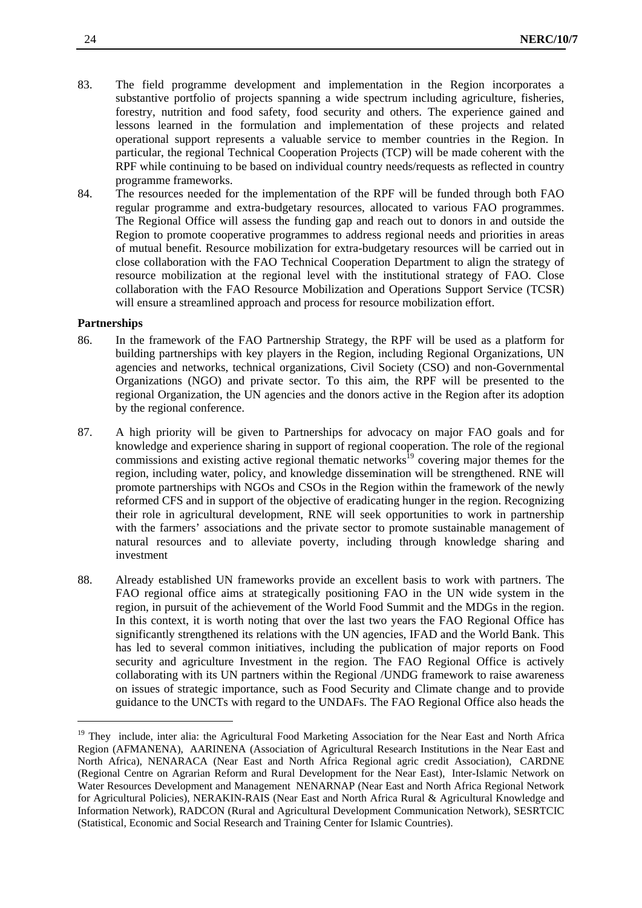- 83. The field programme development and implementation in the Region incorporates a substantive portfolio of projects spanning a wide spectrum including agriculture, fisheries, forestry, nutrition and food safety, food security and others. The experience gained and lessons learned in the formulation and implementation of these projects and related operational support represents a valuable service to member countries in the Region. In particular, the regional Technical Cooperation Projects (TCP) will be made coherent with the RPF while continuing to be based on individual country needs/requests as reflected in country programme frameworks.
- 84. The resources needed for the implementation of the RPF will be funded through both FAO regular programme and extra-budgetary resources, allocated to various FAO programmes. The Regional Office will assess the funding gap and reach out to donors in and outside the Region to promote cooperative programmes to address regional needs and priorities in areas of mutual benefit. Resource mobilization for extra-budgetary resources will be carried out in close collaboration with the FAO Technical Cooperation Department to align the strategy of resource mobilization at the regional level with the institutional strategy of FAO. Close collaboration with the FAO Resource Mobilization and Operations Support Service (TCSR) will ensure a streamlined approach and process for resource mobilization effort.

#### **Partnerships**

1

- 86. In the framework of the FAO Partnership Strategy, the RPF will be used as a platform for building partnerships with key players in the Region, including Regional Organizations, UN agencies and networks, technical organizations, Civil Society (CSO) and non-Governmental Organizations (NGO) and private sector. To this aim, the RPF will be presented to the regional Organization, the UN agencies and the donors active in the Region after its adoption by the regional conference.
- 87. A high priority will be given to Partnerships for advocacy on major FAO goals and for knowledge and experience sharing in support of regional cooperation. The role of the regional commissions and existing active regional thematic networks<sup>19</sup> covering major themes for the region, including water, policy, and knowledge dissemination will be strengthened. RNE will promote partnerships with NGOs and CSOs in the Region within the framework of the newly reformed CFS and in support of the objective of eradicating hunger in the region. Recognizing their role in agricultural development, RNE will seek opportunities to work in partnership with the farmers' associations and the private sector to promote sustainable management of natural resources and to alleviate poverty, including through knowledge sharing and investment
- 88. Already established UN frameworks provide an excellent basis to work with partners. The FAO regional office aims at strategically positioning FAO in the UN wide system in the region, in pursuit of the achievement of the World Food Summit and the MDGs in the region. In this context, it is worth noting that over the last two years the FAO Regional Office has significantly strengthened its relations with the UN agencies, IFAD and the World Bank. This has led to several common initiatives, including the publication of major reports on Food security and agriculture Investment in the region. The FAO Regional Office is actively collaborating with its UN partners within the Regional /UNDG framework to raise awareness on issues of strategic importance, such as Food Security and Climate change and to provide guidance to the UNCTs with regard to the UNDAFs. The FAO Regional Office also heads the

<sup>&</sup>lt;sup>19</sup> They include, inter alia: the Agricultural Food Marketing Association for the Near East and North Africa Region (AFMANENA), AARINENA (Association of Agricultural Research Institutions in the Near East and North Africa), NENARACA (Near East and North Africa Regional agric credit Association), CARDNE (Regional Centre on Agrarian Reform and Rural Development for the Near East), Inter-Islamic Network on Water Resources Development and Management NENARNAP (Near East and North Africa Regional Network for Agricultural Policies), NERAKIN-RAIS (Near East and North Africa Rural & Agricultural Knowledge and Information Network), RADCON (Rural and Agricultural Development Communication Network), SESRTCIC (Statistical, Economic and Social Research and Training Center for Islamic Countries).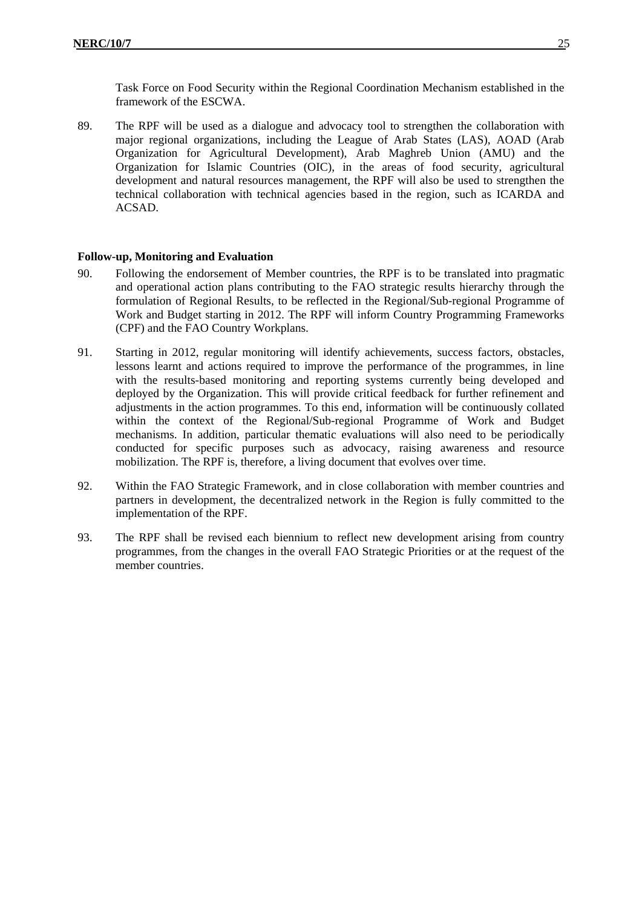Task Force on Food Security within the Regional Coordination Mechanism established in the framework of the ESCWA.

89. The RPF will be used as a dialogue and advocacy tool to strengthen the collaboration with major regional organizations, including the League of Arab States (LAS), AOAD (Arab Organization for Agricultural Development), Arab Maghreb Union (AMU) and the Organization for Islamic Countries (OIC), in the areas of food security, agricultural development and natural resources management, the RPF will also be used to strengthen the technical collaboration with technical agencies based in the region, such as ICARDA and ACSAD.

# **Follow-up, Monitoring and Evaluation**

- 90. Following the endorsement of Member countries, the RPF is to be translated into pragmatic and operational action plans contributing to the FAO strategic results hierarchy through the formulation of Regional Results, to be reflected in the Regional/Sub-regional Programme of Work and Budget starting in 2012. The RPF will inform Country Programming Frameworks (CPF) and the FAO Country Workplans.
- 91. Starting in 2012, regular monitoring will identify achievements, success factors, obstacles, lessons learnt and actions required to improve the performance of the programmes, in line with the results-based monitoring and reporting systems currently being developed and deployed by the Organization. This will provide critical feedback for further refinement and adjustments in the action programmes. To this end, information will be continuously collated within the context of the Regional/Sub-regional Programme of Work and Budget mechanisms. In addition, particular thematic evaluations will also need to be periodically conducted for specific purposes such as advocacy, raising awareness and resource mobilization. The RPF is, therefore, a living document that evolves over time.
- 92. Within the FAO Strategic Framework, and in close collaboration with member countries and partners in development, the decentralized network in the Region is fully committed to the implementation of the RPF.
- 93. The RPF shall be revised each biennium to reflect new development arising from country programmes, from the changes in the overall FAO Strategic Priorities or at the request of the member countries.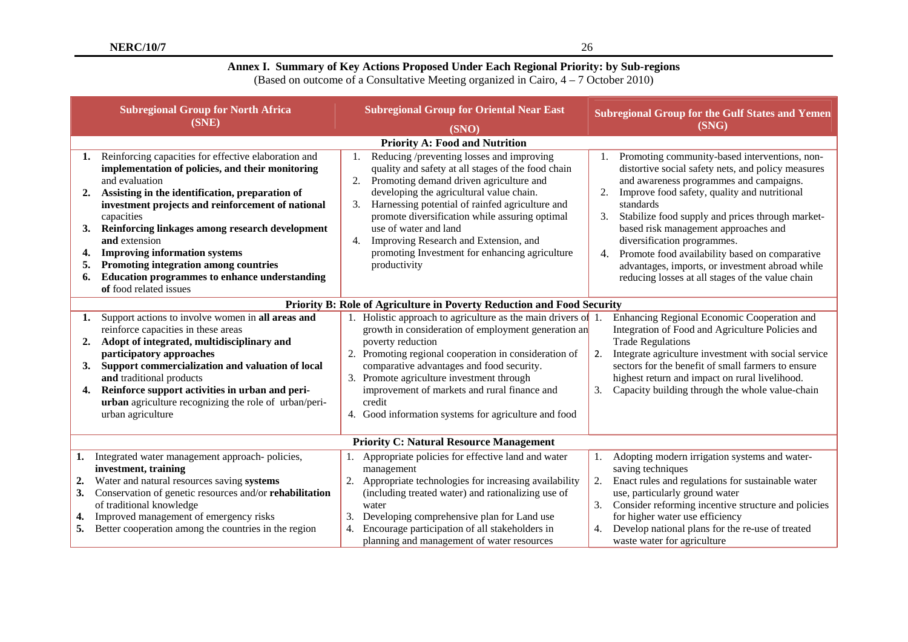# **Annex I. Summary of Key Actions Proposed Under Each Regional Priority: by Sub-regions**

(Based on outcome of a Consultative Meeting organized in Cairo, 4 – 7 October 2010)

|                                  | <b>Subregional Group for North Africa</b><br>(SNE)                                                                                                                                                                                                                                                                                                                                                                                                                                      | <b>Subregional Group for Oriental Near East</b><br>(SNO)                                                                                                                                                                                                                                                                                                                                                                                          | <b>Subregional Group for the Gulf States and Yemen</b><br>(SNG)                                                                                                                                                                                                                                                                                                                                                                                                                                                   |  |  |  |  |  |  |  |
|----------------------------------|-----------------------------------------------------------------------------------------------------------------------------------------------------------------------------------------------------------------------------------------------------------------------------------------------------------------------------------------------------------------------------------------------------------------------------------------------------------------------------------------|---------------------------------------------------------------------------------------------------------------------------------------------------------------------------------------------------------------------------------------------------------------------------------------------------------------------------------------------------------------------------------------------------------------------------------------------------|-------------------------------------------------------------------------------------------------------------------------------------------------------------------------------------------------------------------------------------------------------------------------------------------------------------------------------------------------------------------------------------------------------------------------------------------------------------------------------------------------------------------|--|--|--|--|--|--|--|
|                                  |                                                                                                                                                                                                                                                                                                                                                                                                                                                                                         |                                                                                                                                                                                                                                                                                                                                                                                                                                                   |                                                                                                                                                                                                                                                                                                                                                                                                                                                                                                                   |  |  |  |  |  |  |  |
| 1.<br>2.<br>3.<br>4.<br>5.<br>6. | Reinforcing capacities for effective elaboration and<br>implementation of policies, and their monitoring<br>and evaluation<br>Assisting in the identification, preparation of<br>investment projects and reinforcement of national<br>capacities<br>Reinforcing linkages among research development<br>and extension<br><b>Improving information systems</b><br>Promoting integration among countries<br><b>Education programmes to enhance understanding</b><br>of food related issues | Reducing /preventing losses and improving<br>quality and safety at all stages of the food chain<br>Promoting demand driven agriculture and<br>2.<br>developing the agricultural value chain.<br>Harnessing potential of rainfed agriculture and<br>3.<br>promote diversification while assuring optimal<br>use of water and land<br>Improving Research and Extension, and<br>4.<br>promoting Investment for enhancing agriculture<br>productivity | Promoting community-based interventions, non-<br>distortive social safety nets, and policy measures<br>and awareness programmes and campaigns.<br>Improve food safety, quality and nutritional<br>2.<br>standards<br>3.<br>Stabilize food supply and prices through market-<br>based risk management approaches and<br>diversification programmes.<br>Promote food availability based on comparative<br>4.<br>advantages, imports, or investment abroad while<br>reducing losses at all stages of the value chain |  |  |  |  |  |  |  |
|                                  | Priority B: Role of Agriculture in Poverty Reduction and Food Security                                                                                                                                                                                                                                                                                                                                                                                                                  |                                                                                                                                                                                                                                                                                                                                                                                                                                                   |                                                                                                                                                                                                                                                                                                                                                                                                                                                                                                                   |  |  |  |  |  |  |  |
| 1.<br>2.<br>3.<br>4.             | Support actions to involve women in all areas and<br>reinforce capacities in these areas<br>Adopt of integrated, multidisciplinary and<br>participatory approaches<br>Support commercialization and valuation of local<br>and traditional products<br>Reinforce support activities in urban and peri-<br>urban agriculture recognizing the role of urban/peri-<br>urban agriculture                                                                                                     | 1. Holistic approach to agriculture as the main drivers of<br>growth in consideration of employment generation an<br>poverty reduction<br>2. Promoting regional cooperation in consideration of<br>comparative advantages and food security.<br>3. Promote agriculture investment through<br>improvement of markets and rural finance and<br>credit<br>4. Good information systems for agriculture and food                                       | Enhancing Regional Economic Cooperation and<br>Integration of Food and Agriculture Policies and<br><b>Trade Regulations</b><br>Integrate agriculture investment with social service<br>2.<br>sectors for the benefit of small farmers to ensure<br>highest return and impact on rural livelihood.<br>3.<br>Capacity building through the whole value-chain                                                                                                                                                        |  |  |  |  |  |  |  |
|                                  | <b>Priority C: Natural Resource Management</b>                                                                                                                                                                                                                                                                                                                                                                                                                                          |                                                                                                                                                                                                                                                                                                                                                                                                                                                   |                                                                                                                                                                                                                                                                                                                                                                                                                                                                                                                   |  |  |  |  |  |  |  |
| 1.<br>2.<br>3.<br>4.<br>5.       | Integrated water management approach-policies,<br>investment, training<br>Water and natural resources saving systems<br>Conservation of genetic resources and/or rehabilitation<br>of traditional knowledge<br>Improved management of emergency risks<br>Better cooperation among the countries in the region                                                                                                                                                                           | Appropriate policies for effective land and water<br>management<br>Appropriate technologies for increasing availability<br>2.<br>(including treated water) and rationalizing use of<br>water<br>Developing comprehensive plan for Land use<br>3.<br>Encourage participation of all stakeholders in<br>4.                                                                                                                                          | Adopting modern irrigation systems and water-<br>1.<br>saving techniques<br>2.<br>Enact rules and regulations for sustainable water<br>use, particularly ground water<br>Consider reforming incentive structure and policies<br>3.<br>for higher water use efficiency<br>Develop national plans for the re-use of treated                                                                                                                                                                                         |  |  |  |  |  |  |  |
|                                  |                                                                                                                                                                                                                                                                                                                                                                                                                                                                                         | planning and management of water resources                                                                                                                                                                                                                                                                                                                                                                                                        | waste water for agriculture                                                                                                                                                                                                                                                                                                                                                                                                                                                                                       |  |  |  |  |  |  |  |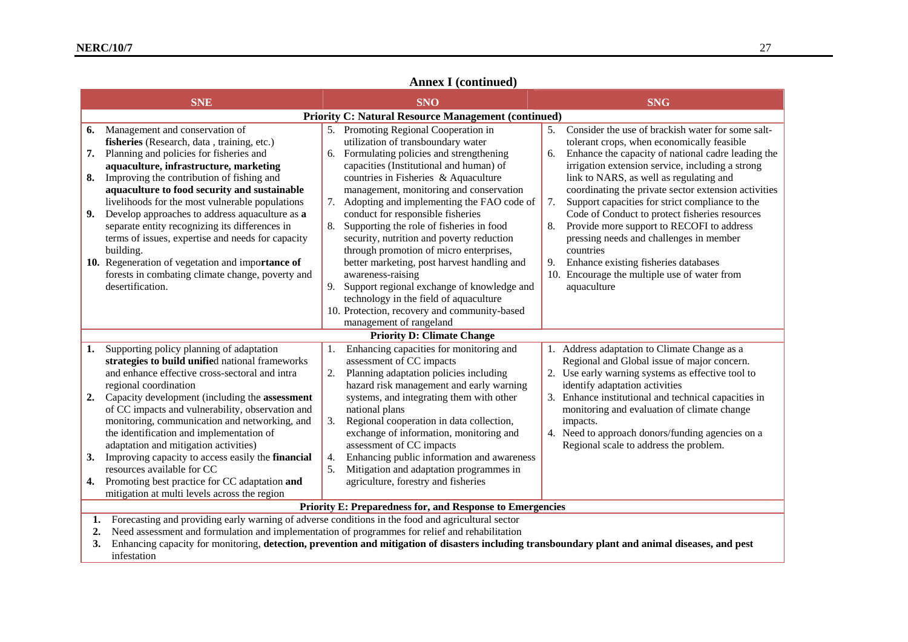# **Annex I (continued)**

| <b>SNE</b>                                                                                                                                                                                                                                                                                                                                                                                                                                                                                                                                                                                                                                  | <b>SNO</b>                                                                                                                                                                                                                                                                                                                                                                                                                                                                                                                                                                                                   | <b>SNG</b>                                                                                                                                                                                                                                                                                                                                                                                                                                                                                                                                                                                                                                                  |  |  |  |  |  |  |  |  |  |
|---------------------------------------------------------------------------------------------------------------------------------------------------------------------------------------------------------------------------------------------------------------------------------------------------------------------------------------------------------------------------------------------------------------------------------------------------------------------------------------------------------------------------------------------------------------------------------------------------------------------------------------------|--------------------------------------------------------------------------------------------------------------------------------------------------------------------------------------------------------------------------------------------------------------------------------------------------------------------------------------------------------------------------------------------------------------------------------------------------------------------------------------------------------------------------------------------------------------------------------------------------------------|-------------------------------------------------------------------------------------------------------------------------------------------------------------------------------------------------------------------------------------------------------------------------------------------------------------------------------------------------------------------------------------------------------------------------------------------------------------------------------------------------------------------------------------------------------------------------------------------------------------------------------------------------------------|--|--|--|--|--|--|--|--|--|
|                                                                                                                                                                                                                                                                                                                                                                                                                                                                                                                                                                                                                                             | <b>Priority C: Natural Resource Management (continued)</b>                                                                                                                                                                                                                                                                                                                                                                                                                                                                                                                                                   |                                                                                                                                                                                                                                                                                                                                                                                                                                                                                                                                                                                                                                                             |  |  |  |  |  |  |  |  |  |
| Management and conservation of<br>6.<br>fisheries (Research, data, training, etc.)<br>Planning and policies for fisheries and<br>7.<br>aquaculture, infrastructure, marketing<br>Improving the contribution of fishing and<br>8.<br>aquaculture to food security and sustainable<br>livelihoods for the most vulnerable populations<br>Develop approaches to address aquaculture as a<br>9.<br>separate entity recognizing its differences in<br>terms of issues, expertise and needs for capacity<br>building.<br>10. Regeneration of vegetation and importance of<br>forests in combating climate change, poverty and<br>desertification. | 5. Promoting Regional Cooperation in<br>utilization of transboundary water<br>6. Formulating policies and strengthening<br>capacities (Institutional and human) of<br>countries in Fisheries & Aquaculture<br>management, monitoring and conservation<br>7. Adopting and implementing the FAO code of<br>conduct for responsible fisheries<br>Supporting the role of fisheries in food<br>8.<br>security, nutrition and poverty reduction<br>through promotion of micro enterprises,<br>better marketing, post harvest handling and<br>awareness-raising<br>Support regional exchange of knowledge and<br>9. | Consider the use of brackish water for some salt-<br>5.<br>tolerant crops, when economically feasible<br>Enhance the capacity of national cadre leading the<br>6.<br>irrigation extension service, including a strong<br>link to NARS, as well as regulating and<br>coordinating the private sector extension activities<br>7.<br>Support capacities for strict compliance to the<br>Code of Conduct to protect fisheries resources<br>Provide more support to RECOFI to address<br>8.<br>pressing needs and challenges in member<br>countries<br>Enhance existing fisheries databases<br>9.<br>10. Encourage the multiple use of water from<br>aquaculture |  |  |  |  |  |  |  |  |  |
|                                                                                                                                                                                                                                                                                                                                                                                                                                                                                                                                                                                                                                             | technology in the field of aquaculture<br>10. Protection, recovery and community-based<br>management of rangeland                                                                                                                                                                                                                                                                                                                                                                                                                                                                                            |                                                                                                                                                                                                                                                                                                                                                                                                                                                                                                                                                                                                                                                             |  |  |  |  |  |  |  |  |  |
|                                                                                                                                                                                                                                                                                                                                                                                                                                                                                                                                                                                                                                             | <b>Priority D: Climate Change</b>                                                                                                                                                                                                                                                                                                                                                                                                                                                                                                                                                                            |                                                                                                                                                                                                                                                                                                                                                                                                                                                                                                                                                                                                                                                             |  |  |  |  |  |  |  |  |  |
| Supporting policy planning of adaptation<br>1.<br>strategies to build unified national frameworks<br>and enhance effective cross-sectoral and intra<br>regional coordination<br>Capacity development (including the assessment<br>2.<br>of CC impacts and vulnerability, observation and<br>monitoring, communication and networking, and<br>the identification and implementation of<br>adaptation and mitigation activities)<br>3.<br>Improving capacity to access easily the financial<br>resources available for CC                                                                                                                     | Enhancing capacities for monitoring and<br>-1.<br>assessment of CC impacts<br>2.<br>Planning adaptation policies including<br>hazard risk management and early warning<br>systems, and integrating them with other<br>national plans<br>3.<br>Regional cooperation in data collection,<br>exchange of information, monitoring and<br>assessment of CC impacts<br>Enhancing public information and awareness<br>4.<br>5.<br>Mitigation and adaptation programmes in                                                                                                                                           | 1. Address adaptation to Climate Change as a<br>Regional and Global issue of major concern.<br>2. Use early warning systems as effective tool to<br>identify adaptation activities<br>3. Enhance institutional and technical capacities in<br>monitoring and evaluation of climate change<br>impacts.<br>4. Need to approach donors/funding agencies on a<br>Regional scale to address the problem.                                                                                                                                                                                                                                                         |  |  |  |  |  |  |  |  |  |
| Promoting best practice for CC adaptation and<br>4.                                                                                                                                                                                                                                                                                                                                                                                                                                                                                                                                                                                         | agriculture, forestry and fisheries                                                                                                                                                                                                                                                                                                                                                                                                                                                                                                                                                                          |                                                                                                                                                                                                                                                                                                                                                                                                                                                                                                                                                                                                                                                             |  |  |  |  |  |  |  |  |  |
| mitigation at multi levels across the region                                                                                                                                                                                                                                                                                                                                                                                                                                                                                                                                                                                                |                                                                                                                                                                                                                                                                                                                                                                                                                                                                                                                                                                                                              |                                                                                                                                                                                                                                                                                                                                                                                                                                                                                                                                                                                                                                                             |  |  |  |  |  |  |  |  |  |
| Priority E: Preparedness for, and Response to Emergencies<br>Forecasting and providing early warning of adverse conditions in the food and agricultural sector<br>1.<br>Need assessment and formulation and implementation of programmes for relief and rehabilitation<br>2.<br>Enhancing capacity for monitoring, detection, prevention and mitigation of disasters including transboundary plant and animal diseases, and pest<br>3.                                                                                                                                                                                                      |                                                                                                                                                                                                                                                                                                                                                                                                                                                                                                                                                                                                              |                                                                                                                                                                                                                                                                                                                                                                                                                                                                                                                                                                                                                                                             |  |  |  |  |  |  |  |  |  |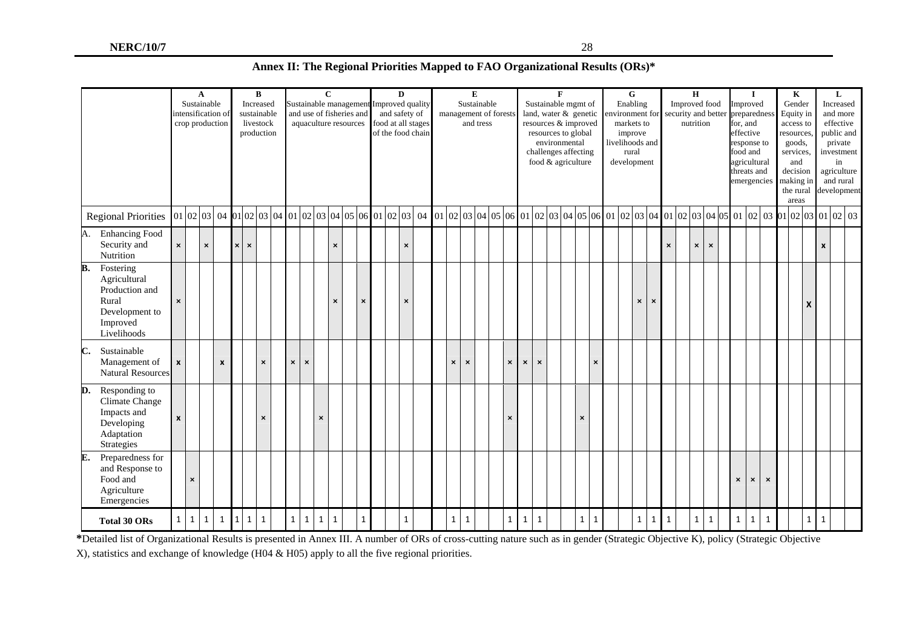| Annex II: The Regional Priorities Mapped to FAO Organizational Results (ORs)* |
|-------------------------------------------------------------------------------|
|-------------------------------------------------------------------------------|

|    |                                                                                                   |                    |                | $\mathbf A$<br>Sustainable | intensification of<br>crop production |          |                           | $\, {\bf B}$<br>Increased<br>sustainable<br>livestock<br>production |                                                                                                                                                                     |                | Sustainable management Improved quality<br>and use of fisheries and<br>aquaculture resources |                | $\mathbf{C}$ |                | and safety of<br>food at all stages<br>of the food chain | D |                           |  |                           | Sustainable               | E<br>and tress | management of forests     |                |                | $\mathbf{F}$<br>Sustainable mgmt of<br>resources to global<br>environmental<br>challenges affecting<br>food & agriculture |                | land, water & genetic<br>resources & improved | Enabling<br>environment for<br>markets to<br>improve<br>livelihoods and<br>development                | G<br>rural                |                           |                | $\mathbf H$<br>Improved food<br>security and better<br>nutrition |                |                |  |                           | $\mathbf{I}$<br>Improved<br>preparedness<br>for, and<br>effective<br>response to<br>food and<br>agricultural<br>threats and<br>emergencies |                | $\bf K$<br>Gender<br>Equity in<br>access to<br>resources.<br>goods,<br>services,<br>and<br>decision<br>making in<br>the rural<br>areas |   | L<br>Increased<br>and more<br>effective<br>public and<br>private<br>investment<br>in<br>agriculture<br>and rural<br>development |  |  |  |
|----|---------------------------------------------------------------------------------------------------|--------------------|----------------|----------------------------|---------------------------------------|----------|---------------------------|---------------------------------------------------------------------|---------------------------------------------------------------------------------------------------------------------------------------------------------------------|----------------|----------------------------------------------------------------------------------------------|----------------|--------------|----------------|----------------------------------------------------------|---|---------------------------|--|---------------------------|---------------------------|----------------|---------------------------|----------------|----------------|---------------------------------------------------------------------------------------------------------------------------|----------------|-----------------------------------------------|-------------------------------------------------------------------------------------------------------|---------------------------|---------------------------|----------------|------------------------------------------------------------------|----------------|----------------|--|---------------------------|--------------------------------------------------------------------------------------------------------------------------------------------|----------------|----------------------------------------------------------------------------------------------------------------------------------------|---|---------------------------------------------------------------------------------------------------------------------------------|--|--|--|
|    | <b>Regional Priorities</b>                                                                        |                    |                |                            |                                       |          |                           |                                                                     | $\vert 01 \vert 02 \vert 03 \vert 04 \vert 01 \vert 02 \vert 03 \vert 04 \vert 01 \vert 02 \vert 03 \vert 04 \vert 05 \vert 06 \vert 01 \vert 02 \vert 03 \vert 04$ |                |                                                                                              |                |              |                |                                                          |   |                           |  |                           |                           |                |                           |                |                |                                                                                                                           |                |                                               | $[01]02]03]04]05[06]01[02]03]04[05]06[01]02[03]04[01]02[03]04[05]01]02[03]01[02]03[01]02[03]01[02]03$ |                           |                           |                |                                                                  |                |                |  |                           |                                                                                                                                            |                |                                                                                                                                        |   |                                                                                                                                 |  |  |  |
| А. | <b>Enhancing Food</b><br>Security and<br>Nutrition                                                | $\pmb{\times}$     |                | $\pmb{\times}$             |                                       | $\times$ | $\boldsymbol{\mathsf{x}}$ |                                                                     |                                                                                                                                                                     |                |                                                                                              |                | ×            |                |                                                          |   | $\boldsymbol{\mathsf{x}}$ |  |                           |                           |                |                           |                |                |                                                                                                                           |                |                                               |                                                                                                       |                           |                           | $\pmb{\times}$ |                                                                  | $\pmb{\times}$ | $\pmb{\times}$ |  |                           |                                                                                                                                            |                |                                                                                                                                        |   | $\pmb{\mathsf{x}}$                                                                                                              |  |  |  |
| B. | Fostering<br>Agricultural<br>Production and<br>Rural<br>Development to<br>Improved<br>Livelihoods | $\pmb{\times}$     |                |                            |                                       |          |                           |                                                                     |                                                                                                                                                                     |                |                                                                                              |                | $\mathsf{x}$ | $\pmb{\times}$ |                                                          |   | $\mathsf{x}$              |  |                           |                           |                |                           |                |                |                                                                                                                           |                |                                               |                                                                                                       | $\boldsymbol{\mathsf{x}}$ | $\boldsymbol{\mathsf{x}}$ |                |                                                                  |                |                |  |                           |                                                                                                                                            |                |                                                                                                                                        | X |                                                                                                                                 |  |  |  |
| C. | Sustainable<br>Management of<br><b>Natural Resources</b>                                          | $\pmb{\mathsf{x}}$ |                |                            | $\boldsymbol{x}$                      |          |                           | $\pmb{\times}$                                                      |                                                                                                                                                                     | $\pmb{\times}$ | $\pmb{\times}$                                                                               |                |              |                |                                                          |   |                           |  | $\boldsymbol{\mathsf{x}}$ | $\boldsymbol{\mathsf{x}}$ |                | $\boldsymbol{\mathsf{x}}$ | $\pmb{\times}$ | $\pmb{\times}$ |                                                                                                                           |                | $\boldsymbol{\mathsf{x}}$                     |                                                                                                       |                           |                           |                |                                                                  |                |                |  |                           |                                                                                                                                            |                |                                                                                                                                        |   |                                                                                                                                 |  |  |  |
| D. | Responding to<br>Climate Change<br>Impacts and<br>Developing<br>Adaptation<br>Strategies          | $\boldsymbol{x}$   |                |                            |                                       |          |                           | $\pmb{\times}$                                                      |                                                                                                                                                                     |                |                                                                                              | $\pmb{\times}$ |              |                |                                                          |   |                           |  |                           |                           |                | $\pmb{\times}$            |                |                |                                                                                                                           | $\pmb{\times}$ |                                               |                                                                                                       |                           |                           |                |                                                                  |                |                |  |                           |                                                                                                                                            |                |                                                                                                                                        |   |                                                                                                                                 |  |  |  |
| E. | Preparedness for<br>and Response to<br>Food and<br>Agriculture<br>Emergencies                     |                    | $\pmb{\times}$ |                            |                                       |          |                           |                                                                     |                                                                                                                                                                     |                |                                                                                              |                |              |                |                                                          |   |                           |  |                           |                           |                |                           |                |                |                                                                                                                           |                |                                               |                                                                                                       |                           |                           |                |                                                                  |                |                |  | $\boldsymbol{\mathsf{x}}$ | $\times$                                                                                                                                   | $\pmb{\times}$ |                                                                                                                                        |   |                                                                                                                                 |  |  |  |
|    | <b>Total 30 ORs</b>                                                                               | $\mathbf{1}$       | $\vert$ 1      | $\mathbf{1}$               | $\mathbf{1}$                          |          | 1 1                       | $\mathbf{1}$                                                        |                                                                                                                                                                     | $\mathbf{1}$   | $\mathbf{1}$                                                                                 | 1              | $\mathbf{1}$ | $\mathbf{1}$   |                                                          |   | $\mathbf{1}$              |  | $\mathbf{1}$              | 1                         |                | $1 \mid$                  | $\mathbf{1}$   | 1              |                                                                                                                           | $\mathbf{1}$   | 1                                             |                                                                                                       | $\mathbf{1}$              | 1                         | $\mathbf{1}$   |                                                                  | 1              | $\mathbf{1}$   |  | $\mathbf{1}$              | 1                                                                                                                                          | $\mathbf{1}$   |                                                                                                                                        |   | $1 \mid 1$                                                                                                                      |  |  |  |

**\***Detailed list of Organizational Results is presented in Annex III. A number of ORs of cross-cutting nature such as in gender (Strategic Objective K), policy (Strategic Objective X), statistics and exchange of knowledge (H04 & H05) apply to all the five regional priorities.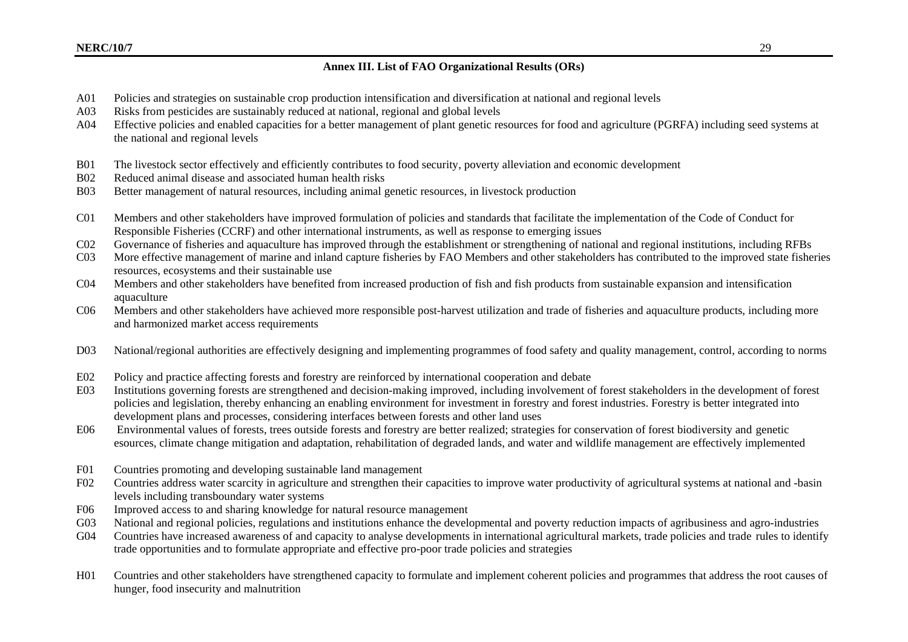# **Annex III. List of FAO Organizational Results (ORs)**

- A01 Policies and strategies on sustainable crop production intensification and diversification at national and regional levels
- A03 Risks from pesticides are sustainably reduced at national, regional and global levels
- A04 Effective policies and enabled capacities for a better management of plant genetic resources for food and agriculture (PGRFA) including seed systems at the national and regional levels
- B01 The livestock sector effectively and efficiently contributes to food security, poverty alleviation and economic development
- B02 Reduced animal disease and associated human health risks
- B03 Better management of natural resources, including animal genetic resources, in livestock production
- C01 Members and other stakeholders have improved formulation of policies and standards that facilitate the implementation of the Code of Conduct for Responsible Fisheries (CCRF) and other international instruments, as well as response to emerging issues
- C02 Governance of fisheries and aquaculture has improved through the establishment or strengthening of national and regional institutions, including RFBs
- C03 More effective management of marine and inland capture fisheries by FAO Members and other stakeholders has contributed to the improved state fisheries resources, ecosystems and their sustainable use
- C04 Members and other stakeholders have benefited from increased production of fish and fish products from sustainable expansion and intensification aquaculture
- C06 Members and other stakeholders have achieved more responsible post-harvest utilization and trade of fisheries and aquaculture products, including more and harmonized market access requirements
- D03 National/regional authorities are effectively designing and implementing programmes of food safety and quality management, control, according to norms
- E02 Policy and practice affecting forests and forestry are reinforced by international cooperation and debate
- E03 Institutions governing forests are strengthened and decision-making improved, including involvement of forest stakeholders in the development of forest policies and legislation, thereby enhancing an enabling environment for investment in forestry and forest industries. Forestry is better integrated into development plans and processes, considering interfaces between forests and other land uses
- E06 Environmental values of forests, trees outside forests and forestry are better realized; strategies for conservation of forest biodiversity and genetic esources, climate change mitigation and adaptation, rehabilitation of degraded lands, and water and wildlife management are effectively implemented
- F01 Countries promoting and developing sustainable land management
- F02 Countries address water scarcity in agriculture and strengthen their capacities to improve water productivity of agricultural systems at national and -basin levels including transboundary water systems
- F06 Improved access to and sharing knowledge for natural resource management
- G03 National and regional policies, regulations and institutions enhance the developmental and poverty reduction impacts of agribusiness and agro-industries
- G04 Countries have increased awareness of and capacity to analyse developments in international agricultural markets, trade policies and trade rules to identify trade opportunities and to formulate appropriate and effective pro-poor trade policies and strategies
- H01 Countries and other stakeholders have strengthened capacity to formulate and implement coherent policies and programmes that address the root causes of hunger, food insecurity and malnutrition